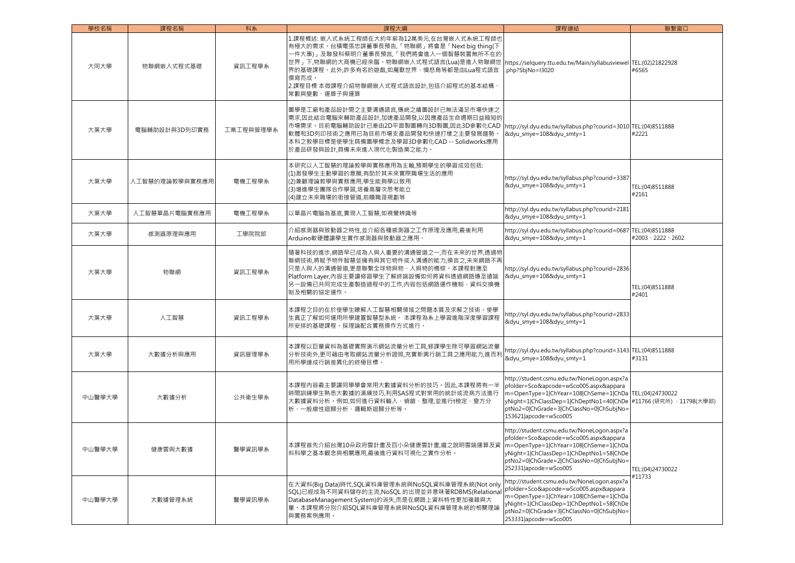| 學校名稱   | 課程名稱           | 科系        | 課程大綱                                                                                                                                                                                                                                                                                      | 課程連結                                                                                                                                                                                                                                          | 聯繫窗口                                        |
|--------|----------------|-----------|-------------------------------------------------------------------------------------------------------------------------------------------------------------------------------------------------------------------------------------------------------------------------------------------|-----------------------------------------------------------------------------------------------------------------------------------------------------------------------------------------------------------------------------------------------|---------------------------------------------|
| 大同大學   | 物聯網嵌入式程式基礎     | 資訊工程學系    | 1.課程概述: 嵌入式系統工程師在大約年薪為12萬美元,在台灣嵌入式系統工程師也<br>有極大的需求。台積電張忠謀董事長預告,「物聯網」將會是「Next big thing(下<br>一件大事)」及聯發科蔡明介董事長預言,「我們將會進入一個智慧裝置無所不在的<br>世界」下,物聯網的大商機已經來臨。物聯網嵌入式程式語言(Lua)是進入物聯網世<br>界的基礎課程。此外,許多有名的遊戲,如魔獸世界、憤怒鳥等都是由Lua程式語言<br>撰寫而成。<br>2.課程目標 本微課程介紹物聯網嵌入式程式語言設計,包括介紹程式的基本結構·<br>常數與變數、運算子與運算 | https://selquery.ttu.edu.tw/Main/syllabusviewel TEL:(02)21822928<br>.php?SbjNo=I3020                                                                                                                                                          | #6565                                       |
| 大葉大學   | 電腦輔助設計與3D列印實務  | 工業工程與管理學系 | 圖學是工廠和產品設計間之主要溝通語言,傳統之繪圖設計已無法滿足市場快速之<br>需求,因此結合電腦來輔助產品設計,加速產品開發,以因應產品生命週期日益縮短的<br>市場需求。目前電腦輔助設計已漸由2D平面製圖轉向3D製圖,因此3D參數化CAD<br>軟體和3D列印技術之應用已為目前市場支產品開發和快速打樣之主要發展趨勢<br>本科之教學目標是使學生具備圖學概念及學習3D參數化CAD -- Solidworks應用<br>於產品研發與設計,具備未來進入現代化製造業之能力。                                             | http://syl.dyu.edu.tw/syllabus.php?courid=3010 TEL:(04)8511888<br>&dyu_smye=108&dyu_smty=1                                                                                                                                                    | #2221                                       |
| 大葉大學   | 人工智慧的理論教學與實務應用 | 電機工程學系    | 本研究以人工智慧的理論教學與實務應用為主軸,預期學生的學習成效包括:<br>(1)激發學生主動學習的意願,有助於其未來實際職場生活的應用<br>(2)兼顧理論教學與實務應用,學生能夠學以致用<br>(3)增進學生團隊合作學習,培養高層次思考能立<br>(4)建立未來職場的銜接管道,前瞻職涯規劃等                                                                                                                                      | http://syl.dyu.edu.tw/syllabus.php?courid=3387<br>&dyu_smye=108&dyu_smty=1                                                                                                                                                                    | TEL:(04)8511888<br>#2161                    |
| 大葉大學   | 人工智慧單晶片電腦實務應用  | 電機工程學系    | 以單晶片電腦為基底,實現人工智慧,如視覺辨識等                                                                                                                                                                                                                                                                   | http://syl.dyu.edu.tw/syllabus.php?courid=2181<br>&dyu_smye=108&dyu_smty=1                                                                                                                                                                    |                                             |
| 大葉大學   | 感測器原理與應用       | 工學院院部     | 介紹感測器與致動器之特性,並介紹各種感測器之工作原理及應用,最後利用<br>Arduino軟硬體讓學生實作感測器與致動器之應用。                                                                                                                                                                                                                          | http://syl.dyu.edu.tw/syllabus.php?courid=0687 TEL:(04)8511888<br>&dyu smye=108&dyu smty=1                                                                                                                                                    | #2003 \ 2222 \ 2602                         |
| 大葉大學   | 物聯網            | 資訊工程學系    | 隨著科技的進步,網路早已成為人與人重要的溝通管道之一,而在未來的世界,透過物<br>聯網技術,將賦予物件智慧並擁有與其它物件或人溝通的能力,換言之,未來網路不再<br>只是人與人的溝通管道,更是聯繫全球物與物、人與物的橋樑。本課程對應至<br>Platform Layer,内容主要讓修習學生了解終端設備如何將資料透過網路傳至遠端<br>另一設備已共同完成生產製造過程中的工作,內容包括網路運作機制、資料交換機<br>制及相關的協定運作。                                                               | http://syl.dyu.edu.tw/syllabus.php?courid=2836<br>&dyu smye=108&dyu smty=1                                                                                                                                                                    | TEL:(04)8511888<br>#2401                    |
| 大葉大學   | 人工智慧           | 資訊工程學系    | 本課程之目的在於使學生瞭解人工智慧相關領域之問題本質及求解之技術。使學<br>生真正了解如何運用所學建置智慧型系統。 本課程為系上學習進階深度學習課程<br>所安排的基礎課程。採理論配合實務操作方式進行。                                                                                                                                                                                    | http://syl.dyu.edu.tw/syllabus.php?courid=2833<br>&dyu_smye=108&dyu_smty=1                                                                                                                                                                    |                                             |
| 大葉大學   | 大數據分析與應用       | 資訊管理學系    | 本課程以巨量資料為基礎實際演示網站流量分析工具,修課學生除可學習網站流量<br>分析技術外,更可藉由考取網站流量分析證照,充實新興行銷工具之應用能力,進而利<br>用所學達成行銷差異化的終極目標。                                                                                                                                                                                        | http://syl.dyu.edu.tw/syllabus.php?courid=3143 TEL:(04)8511888<br>&dyu_smye=108&dyu_smty=1                                                                                                                                                    | #3131                                       |
| 中山醫學大學 | 大數據分析          | 公共衛生學系    | 本課程內容最主要讓同學學會常用大數據資料分析的技巧。因此,本課程將有一半<br>時間訓練學生熟悉大數據的演練技巧,利用SAS程式對常用的統計或流病方法進行<br>大數據資料分析。例如,如何進行資料輸入、偵錯、整理,並進行t檢定、變方分<br>析、一般線性迴歸分析、邏輯斯迴歸分析等。                                                                                                                                             | http://student.csmu.edu.tw/NoneLogon.aspx?a<br>pfolder=Sco&apcode=wSco005.aspx&appara<br>m=OpenType=1 ChYear=108 ChSeme=1 ChDa<br>yNight=1 ChClassDep=1 ChDeptNo1=40 ChDe<br>ptNo2=0 ChGrade=3 ChClassNo=0 ChSubjNo=<br>153621 apcode=wSco005 | TEL:(04)24730022<br>#11766 (研究所)、11798(大學部) |
| 中山醫學大學 | 健康雲與大數據        | 醫學資訊學系    | 本課程首先介紹台灣10朵政府雲計畫及四小朵健康雲計畫,繼之說明雲端運算及資<br>料科學之基本觀念與相關應用,最後進行資料可視化之實作分析。                                                                                                                                                                                                                    | http://student.csmu.edu.tw/NoneLogon.aspx?a<br>pfolder=Sco&apcode=wSco005.aspx&appara<br>m=OpenType=1 ChYear=108 ChSeme=1 ChDa<br>yNight=1 ChClassDep=1 ChDeptNo1=58 ChDe<br>ptNo2=0 ChGrade=2 ChClassNo=0 ChSubjNo=<br>252331 apcode=wSco005 | TEL:(04)24730022                            |
| 中山醫學大學 | 大數據管理系統        | 醫學資訊學系    | 在大資料(Big Data)時代,SQL資料庫管理系統與NoSQL資料庫管理系統(Not only<br>SQL)已經成為不同資料儲存的主流,NoSQL 的出現並非意味著RDBMS(Relational<br>DatabaseManagement System)的消失,而是在網路上資料特性更加複雜與大<br>量。本課程將分別介紹SQL資料庫管理系統與NoSQL資料庫管理系統的相關理論<br>與實務案例應用。                                                                             | http://student.csmu.edu.tw/NoneLogon.aspx?a<br>pfolder=Sco&apcode=wSco005.aspx&appara<br>m=OpenType=1 ChYear=108 ChSeme=1 ChDa<br>yNight=1 ChClassDep=1 ChDeptNo1=58 ChDe<br>ptNo2=0 ChGrade=3 ChClassNo=0 ChSubjNo=<br>253331 apcode=wSco005 | #11733                                      |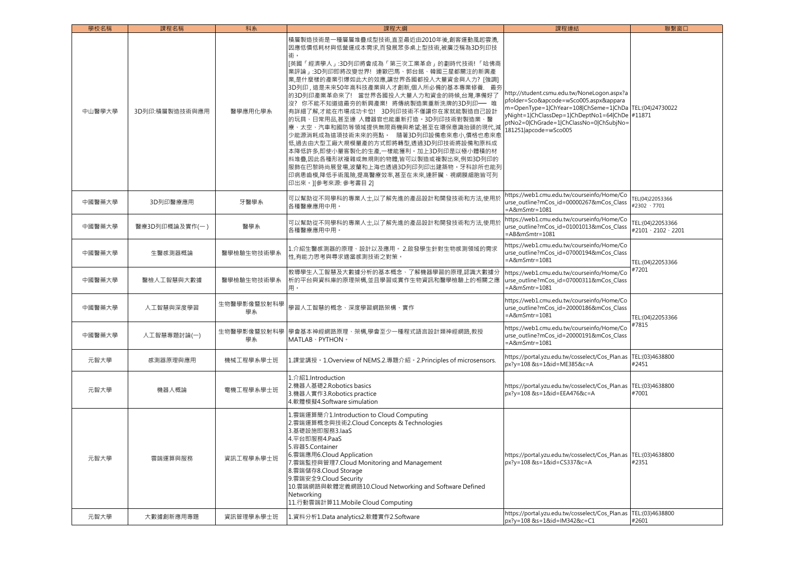| 學校名稱   | 課程名稱           | 科系                | 課程大綱                                                                                                                                                                                                                                                                                                                                                                                                                                                                                                                                                                                                                                                                                                                                                           | 課程連結                                                                                                                                                                                                                                                                    | 聯繫窗口                                        |
|--------|----------------|-------------------|----------------------------------------------------------------------------------------------------------------------------------------------------------------------------------------------------------------------------------------------------------------------------------------------------------------------------------------------------------------------------------------------------------------------------------------------------------------------------------------------------------------------------------------------------------------------------------------------------------------------------------------------------------------------------------------------------------------------------------------------------------------|-------------------------------------------------------------------------------------------------------------------------------------------------------------------------------------------------------------------------------------------------------------------------|---------------------------------------------|
| 中山醫學大學 | 3D列印:積層製造技術與應用 | 醫學應用化學系           | 積層製造技術是一種層層堆疊成型技術,直至最近由2010年後,創客運動風起雲湧,<br>因應低價低耗材與低營運成本需求,而發展眾多桌上型技術,被廣泛稱為3D列印技<br>術。<br>[英國「經濟學人」:3D列印將會成為「第三次工業革命」的劃時代技術!「哈佛商<br>業評論」:3D列印即將改變世界!連歐巴馬、郭台銘、韓國三星都關注的新興產<br>業,是什麼樣的產業引爆如此大的效應,讓世界各國都投入大量資金與人力? [強調]<br>3D列印,這是未來50年高科技產業與人才創新,個人所必備的基本專業修養. 最夯<br>的3D列印產業革命來了! 當世界各國投入大量人力和資金的時候,台灣,準備好了<br> 沒? 你不能不知道這最夯的新興產業! 將傳統製造業重新洗牌的3D列印—— 唯<br> 有詳細了解,才能在市場成功卡位! 3D列印技術不僅讓你在家就能製造自己設計<br> 的玩具、日常用品,甚至連 人體器官也能重新打造。3D列印技術對製造業、醫<br>療、太空、汽車和國防等領域提供無限商機與希望:甚至在環保意識抬頭的現代,減<br>少能源消耗成為這項技術未來的亮點。 隨著3D列印設備愈來愈小,價格也愈來愈<br>低,過去由大型工廠大規模量產的方式即將轉型,透過3D列印技術將設備和原料成<br>本降低許多,即使小量客製化的生產,一樣能獲利。加上3D列印是以極小體積的材<br>料堆疊,因此各種形狀複雜或無規則的物體,皆可以製造或複製出來,例如3D列印的<br>服飾在巴黎時尚展登場,波蘭和上海也透過3D列印列印出建築物.牙科診所也能列<br>印病患齒模,降低手術風險,提高醫療效率,甚至在未來,連肝臟、視網膜細胞皆可列<br>印出來。][參考來源: 參考書目 2] | http://student.csmu.edu.tw/NoneLogon.aspx?a<br>pfolder=Sco&apcode=wSco005.aspx&appara<br>m=OpenType=1 ChYear=108 ChSeme=1 ChDa TEL:(04)24730022<br>yNight=1 ChClassDep=1 ChDeptNo1=64 ChDe #11871<br>ptNo2=0 ChGrade=1 ChClassNo=0 ChSubjNo=<br>181251 apcode = wSco005 |                                             |
| 中國醫藥大學 | 3D列印醫療應用       | 牙醫學系              | 可以幫助從不同學科的專業人士,以了解先進的產品設計和開發技術和方法,使用於<br>各種醫療應用中用。                                                                                                                                                                                                                                                                                                                                                                                                                                                                                                                                                                                                                                                                                                             | https://web1.cmu.edu.tw/courseinfo/Home/Co<br>urse_outline?mCos_id=00000267&mCos_Class<br>$=$ A&mSmtr=1081                                                                                                                                                              | TEL(04)22053366<br>#2302 \ 7701             |
| 中國醫藥大學 | 醫療3D列印概論及實作(一) | 醫學系               | 可以幫助從不同學科的專業人士,以了解先進的產品設計和開發技術和方法,使用於<br>各種醫療應用中用。                                                                                                                                                                                                                                                                                                                                                                                                                                                                                                                                                                                                                                                                                                             | https://web1.cmu.edu.tw/courseinfo/Home/Co<br>urse_outline?mCos_id=01001013&mCos_Class<br>=AB&mSmtr=1081                                                                                                                                                                | TEL:(04)22053366<br>#2101 \ 2102 \ 2201     |
| 中國醫藥大學 | 生醫感測器概論        | 醫學檢驗生物技術學系        | 1.介紹生醫感測器的原理、設計以及應用。 2.啟發學生針對生物感測領域的需求<br>性,有能力思考與尋求適當感測技術之對策。                                                                                                                                                                                                                                                                                                                                                                                                                                                                                                                                                                                                                                                                                                 | https://web1.cmu.edu.tw/courseinfo/Home/Co<br>urse_outline?mCos_id=07000194&mCos_Class<br>=A&mSmtr=1081                                                                                                                                                                 | TEL:(04)22053366                            |
| 中國醫藥大學 | 醫檢人工智慧與大數據     | 醫學檢驗生物技術學系        | 教導學生人工智慧及大數據分析的基本概念、了解機器學習的原理,認識大數據分<br>析的平台與資料庫的原理架構,並且學習或實作生物資訊和醫學檢驗上的相關之應<br>用。                                                                                                                                                                                                                                                                                                                                                                                                                                                                                                                                                                                                                                                                             | https://web1.cmu.edu.tw/courseinfo/Home/Co<br>urse_outline?mCos_id=07000311&mCos_Class<br>=A&mSmtr=1081                                                                                                                                                                 | #7201                                       |
| 中國醫藥大學 | 人工智慧與深度學習      | 生物醫學影像暨放射科學<br>學系 | 學習人工智慧的概念、深度學習網路架構、實作                                                                                                                                                                                                                                                                                                                                                                                                                                                                                                                                                                                                                                                                                                                                          | https://web1.cmu.edu.tw/courseinfo/Home/Co<br>urse_outline?mCos_id=20000186&mCos_Class<br>=A&mSmtr=1081                                                                                                                                                                 | TEL:(04)22053366                            |
| 中國醫藥大學 | 人工智慧專題討論(一)    | 學系                | 生物醫學影像暨放射科學  學會基本神經網路原理、架構,學會至少一種程式語言設計類神經網路,教授<br>MATLAB · PYTHON ·                                                                                                                                                                                                                                                                                                                                                                                                                                                                                                                                                                                                                                                                                           | https://web1.cmu.edu.tw/courseinfo/Home/Co<br>urse_outline?mCos_id=20000191&mCos_Class<br>=A&mSmtr=1081                                                                                                                                                                 | #7815                                       |
| 元智大學   | 感測器原理與應用       | 機械工程學系學士班         | 1.課堂講授。1.Overview of NEMS.2.專題介紹。2.Principles of microsensors.                                                                                                                                                                                                                                                                                                                                                                                                                                                                                                                                                                                                                                                                                                 | https://portal.yzu.edu.tw/cosselect/Cos_Plan.as<br>px?y=108 &s=1&id=ME385&c=A                                                                                                                                                                                           | TEL:(03)4638800<br>#2451                    |
| 元智大學   | 機器人概論          | 電機工程學系學士班         | 1.介紹1.Introduction<br>2.機器人基礎2.Robotics basics<br>3.機器人實作3.Robotics practice<br>4.軟體模擬4.Software simulation                                                                                                                                                                                                                                                                                                                                                                                                                                                                                                                                                                                                                                                    | https://portal.yzu.edu.tw/cosselect/Cos_Plan.as<br>px?y=108 &s=1&id=EEA476&c=A                                                                                                                                                                                          | TEL:(03)4638800<br>#7001                    |
| 元智大學   | 雲端運算與服務        | 資訊工程學系學士班         | 1.雲端運算簡介1.Introduction to Cloud Computing<br>2.雲端運算概念與技術2.Cloud Concepts & Technologies<br>3.基礎設施即服務3.laaS<br>4.平台即服務4.PaaS<br>5.容器5.Container<br>6.雲端應用6.Cloud Application<br>7.雲端監控與管理7.Cloud Monitoring and Management<br>8.雲端儲存8.Cloud Storage<br>9.雲端安全9.Cloud Security<br>10.雲端網路與軟體定義網路10.Cloud Networking and Software Defined<br>Networking<br>11.行動雲端計算11.Mobile Cloud Computing                                                                                                                                                                                                                                                                                                                                                                     | https://portal.yzu.edu.tw/cosselect/Cos_Plan.as<br>px?y=108 &s=1&id=CS337&c=A<br>https://portal.yzu.edu.tw/cosselect/Cos_Plan.as                                                                                                                                        | TEL:(03)4638800<br>#2351<br>TEL:(03)4638800 |
| 元智大學   | 大數據創新應用專題      | 資訊管理學系學士班         | 1.資料分析1.Data analytics2.軟體實作2.Software                                                                                                                                                                                                                                                                                                                                                                                                                                                                                                                                                                                                                                                                                                                         | px?y=108 &s=1&id=IM342&c=C1                                                                                                                                                                                                                                             | #2601                                       |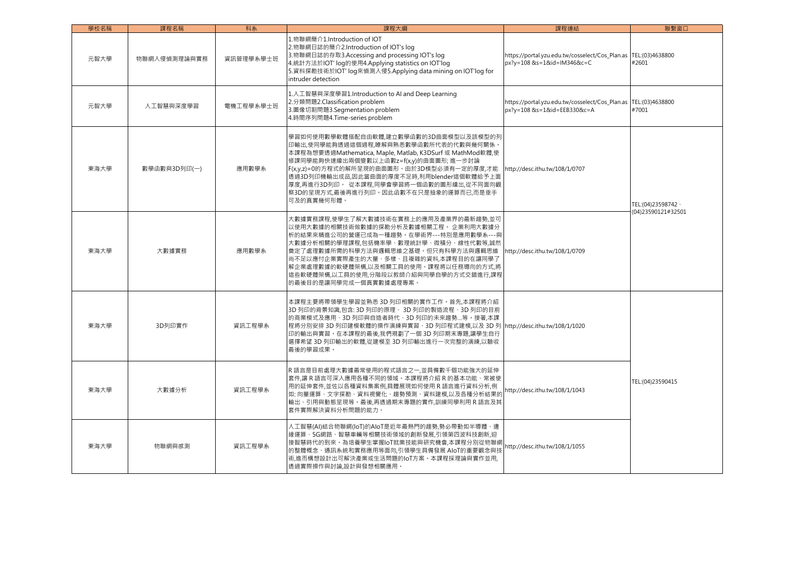| 學校名稱 | 課程名稱         | 科系        | 課程大綱                                                                                                                                                                                                                                                                                                                                                                               | 課程連結                                                                           | 聯繫窗口                     |
|------|--------------|-----------|------------------------------------------------------------------------------------------------------------------------------------------------------------------------------------------------------------------------------------------------------------------------------------------------------------------------------------------------------------------------------------|--------------------------------------------------------------------------------|--------------------------|
| 元智大學 | 物聯網入侵偵測理論與實務 | 資訊管理學系學士班 | 1.物聯網簡介1.Introduction of IOT<br>2.物聯網日誌的簡介2.Introduction of IOT's log<br>3.物聯網日誌的存取3.Accessing and processing IOT's log<br>4. 統計方法於IOT' log的使用4. Applying statistics on IOT'log<br>5.資料探勘技術於IOT' log來偵測入侵5.Applying data mining on IOT'log for<br>intruder detection                                                                                                               | https://portal.yzu.edu.tw/cosselect/Cos_Plan.as<br>px?v=108 &s=1&id=IM346&c=C  | TEL:(03)4638800<br>#2601 |
| 元智大學 | 人工智慧與深度學習    | 雷機工程學系學十班 | 1.人工智慧與深度學習1.Introduction to AI and Deep Learning<br>2.分類問題2.Classification problem<br>3.圖像切割問題3.Segmentation problem<br>4.時間序列問題4.Time-series problem                                                                                                                                                                                                                             | https://portal.yzu.edu.tw/cosselect/Cos_Plan.as<br>px?y=108 &s=1&id=EEB330&c=A | TEL:(03)4638800<br>#7001 |
| 東海大學 | 數學函數與3D列印(一) | 應用數學系     | 學習如何使用數學軟體搭配自由軟體,建立數學函數的3D曲面模型以及該模型的列<br>印輸出.使同學能夠透過這個過程,瞭解與熟悉數學函數所代表的代數與幾何關係。<br>本課程為想要透過Mathematica, Maple, Matlab, K3DSurf 或 MathMod軟體,使<br>修課同學能夠快速繪出兩個變數以上函數z=f(x,γ)的曲面圖形; 進一步討論<br>F(x,y,z)=0的方程式的解所呈現的曲面圖形。由於3D模型必須有一定的厚度,才能<br>透過3D列印機輸出成品,因此當曲面的厚度不足時,利用blender這個軟體給予上面<br>厚度,再進行3D列印。 從本課程,同學會學習將一個函數的圖形繪出,從不同面向觀<br>察3D的呈現方式,最後再進行列印。因此函數不在只是抽象的運算而已,而是垂手<br>可及的真實幾何形體。 | http://desc.ithu.tw/108/1/0707                                                 | TEL:(04)23598742 \       |
| 東海大學 | 大數據實務        | 應用數學系     | 大數據實務課程,使學生了解大數據技術在實務上的應用及產業界的最新趨勢,並可<br>以使用大數據的相關技術做數據的探勘分析及數據相關工程。 企業利用大數據分<br>析的結果來精進公司的營運已成為一種趨勢。在學術界---特別是應用數學系---與<br>大數據分析相關的學理課程,包括機率學、數理統計學、微積分、線性代數等,誠然<br>奠定了處理數據所需的科學方法與邏輯思維之基礎。但只有科學方法與邏輯思維<br>尚不足以應付企業實際產生的大量、多樣、且複雜的資料,本課程目的在讓同學了<br>解企業處理數據的軟硬體架構,以及相關工具的使用。課程將以任務導向的方式,將<br>這些軟硬體架構,以工具的使用,分階段以教師介紹與同學自學的方式交錯進行,課程<br>的最後目的是讓同學完成一個真實數據處理專案。                      | http://desc.ithu.tw/108/1/0709                                                 | (04)23590121#32501       |
| 東海大學 | 3D列印實作       | 資訊工程學系    | 本課程主要將帶領學生學習並熟悉 3D 列印相關的實作工作。首先,本課程將介紹<br>3D 列印的背景知識,包含: 3D 列印的原理、 3D 列印的製造流程、3D 列印的目前<br>的商業模式及應用、3D 列印與自造者時代、3D 列印的未來趨勢等。接著,本課<br>程將分別安排 3D 列印建模軟體的操作演練與實習、3D 列印程式建模,以及 3D 列 http://desc.ithu.tw/108/1/1020<br>印的輸出與實習。在本課程的最後,我們規劃了一個 3D 列印期末專題,讓學生自行<br>選擇希望 3D 列印輸出的軟體,從建模至 3D 列印輸出進行一次完整的演練,以驗收<br>最後的學習成果。                                                                  |                                                                                |                          |
| 東海大學 | 大數據分析        | 資訊工程學系    | R語言是目前處理大數據最常使用的程式語言之一,並具備數千個功能強大的延伸<br>套件.讓 R 語言可深入應用各種不同的領域。本課程將介紹 R 的基本功能、常被使<br>用的延伸套件,並佐以各種資料集案例,具體展現如何使用 R 語言進行資料分析,例<br>如: 向量運算、文字探勘、資料視覺化、趨勢預測、資料建模,以及各種分析結果的<br>輸出、引用與動態呈現等。最後,再透過期末專題的實作,訓練同學利用 R 語言及其<br>套件實際解決資料分析問題的能力。                                                                                                                                               | http://desc.ithu.tw/108/1/1043                                                 | TEL:(04)23590415         |
| 東海大學 | 物聯網與感測       | 資訊工程學系    | 人工智慧(AI)結合物聯網(IoT)的AIoT是近年最熱門的趨勢,勢必帶動如半導體、邊<br>緣運算、5G網路、智慧車輛等相關技術領域的創新發展,引領第四波科技創新,迎<br>接智慧時代的到來。為培養學生掌握IoT就業技能與研究機會,本課程分別從物聯網<br>的整體概念、通訊系統和實務應用等面向,引領學生具備發展 AloT的重要觀念與技<br>術,進而構想設計出可解決產業或生活問題的IoT方案。本課程採理論與實作並用,<br>透過實際操作與討論,設計與發想相關應用。                                                                                                                                        | http://desc.ithu.tw/108/1/1055                                                 |                          |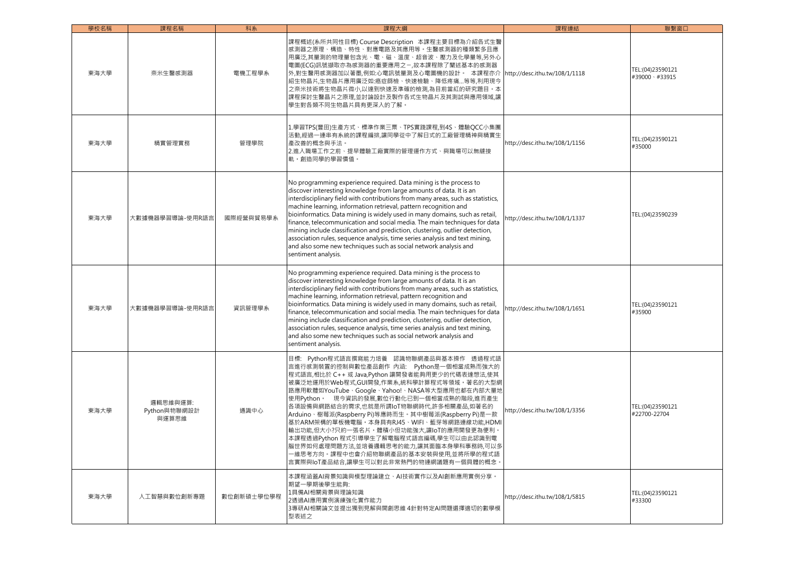| 學校名稱 | 課程名稱                              | 科系         | 課程大綱                                                                                                                                                                                                                                                                                                                                                                                                                                                                                                                                                                                                                                                                                                                  | 課程連結                           | 聯繫窗口                                |
|------|-----------------------------------|------------|-----------------------------------------------------------------------------------------------------------------------------------------------------------------------------------------------------------------------------------------------------------------------------------------------------------------------------------------------------------------------------------------------------------------------------------------------------------------------------------------------------------------------------------------------------------------------------------------------------------------------------------------------------------------------------------------------------------------------|--------------------------------|-------------------------------------|
| 東海大學 | 奈米生醫感測器                           | 電機工程學系     | 課程概述(系所共同性目標) Course Description 本課程主要目標為介紹各式生醫<br>感測器之原理、構造、特性、對應電路及其應用等。生醫感測器的種類繁多且應<br>用廣泛,其量測的物理量包含光、電、磁、溫度、超音波、壓力及化學量等,另外心<br>電圖(ECG)訊號擷取亦為感測器的重要應用之一,故本課程除了闡述基本的感測器<br>外,對生醫用感測器加以著墨,例如:心電訊號量測及心電圖機的設計。 本課程亦介<br>紹生物晶片,生物晶片應用廣泛如:癌症篩檢、快速檢驗、降低疼痛等等,利用現今<br>之奈米技術將生物晶片微小,以達到快速及準確的檢測,為目前當紅的研究題目。本<br>課程探討生醫晶片之原理,並討論設計及製作各式生物晶片及其測試與應用領域,讓<br>學生對各類不同生物晶片具有更深入的了解。                                                                                                                                                                                                                                                                                                                                                | http://desc.ithu.tw/108/1/1118 | TEL:(04)23590121<br>#39000 \ #33915 |
| 東海大學 | 精實管理實務                            | 管理學院       | 1.學習TPS(豐田)生產方式、標準作業三票、TPS實踐課程,到4S、體驗QCC小集團<br>活動,經過一連串有系統的課程編排,讓同學從中了解日式的工廠管理精神與精實生<br>產改善的概念與手法。<br>2.進入職場工作之前、提早體驗工廠實際的管理運作方式、與職場可以無縫接<br>軌。創造同學的學習價值。                                                                                                                                                                                                                                                                                                                                                                                                                                                                                                                                                             | http://desc.ithu.tw/108/1/1156 | TEL:(04)23590121<br>#35000          |
| 東海大學 | 大數據機器學習導論-使用R語言                   | 國際經營與貿易學系  | No programming experience required. Data mining is the process to<br>discover interesting knowledge from large amounts of data. It is an<br>interdisciplinary field with contributions from many areas, such as statistics,<br>machine learning, information retrieval, pattern recognition and<br>bioinformatics. Data mining is widely used in many domains, such as retail,<br>finance, telecommunication and social media. The main techniques for data<br>mining include classification and prediction, clustering, outlier detection,<br>association rules, sequence analysis, time series analysis and text mining,<br>and also some new techniques such as social network analysis and<br>sentiment analysis. | http://desc.ithu.tw/108/1/1337 | TEL:(04)23590239                    |
| 東海大學 | 大數據機器學習導論-使用R語言                   | 資訊管理學系     | No programming experience required. Data mining is the process to<br>discover interesting knowledge from large amounts of data. It is an<br>interdisciplinary field with contributions from many areas, such as statistics,<br>machine learning, information retrieval, pattern recognition and<br>bioinformatics. Data mining is widely used in many domains, such as retail,<br>finance, telecommunication and social media. The main techniques for data<br>mining include classification and prediction, clustering, outlier detection,<br>association rules, sequence analysis, time series analysis and text mining,<br>and also some new techniques such as social network analysis and<br>sentiment analysis. | http://desc.ithu.tw/108/1/1651 | TEL:(04)23590121<br>#35900          |
| 東海大學 | 邏輯思維與運算:<br>Python與物聯網設計<br>與運算思維 | 通識中心       | 目標: Python程式語言撰寫能力培養 認識物聯網產品與基本操作 透過程式語<br>言進行感測裝置的控制與數位產品創作 內涵: Python是一個相當成熟而強大的<br>程式語言,相比於 C++ 或 Java,Python 讓開發者能夠用更少的代碼表達想法,使其<br>被廣泛地運用於Web程式,GUI開發,作業系,統科學計算程式等領域。著名的大型網<br>路應用軟體如YouTube、Google、Yahoo!、NASA等大型應用也都在內部大量地<br>使用Python。 現今資訊的發展,數位行動化已到一個相當成熟的階段,進而產生<br>各項設備與網路結合的需求,也就是所謂IoT物聯網時代,許多相關產品,如著名的<br>Arduino、樹莓派(Raspberry Pi)等應時而生。其中樹莓派(Raspberry Pi)是一款<br>基於ARM架構的單板機電腦。本身具有RJ45、WIFI、藍芽等網路連線功能,HDMI<br>輸出功能,但大小?只約一張名片.體積小但功能強大,讓IoT的應用開發更為便利.<br>本課程透過Python 程式引導學生了解電腦程式語言編碼,學生可以由此認識到電<br>腦世界如何處理問題方法,並培養邏輯思考的能力,讓其面臨本身學科事務時,可以多<br>-維思考方向。課程中也會介紹物聯網產品的基本安裝與使用,並將所學的程式語<br>言實際與IoT產品結合,讓學生可以對此非常熱門的物連網議題有一個具體的概念                                                                        | http://desc.ithu.tw/108/1/3356 | TEL:(04)23590121<br>#22700-22704    |
| 東海大學 | 人工智慧與數位創新專題                       | 數位創新碩士學位學程 | 本課程涵蓋AI背景知識與模型理論建立、AI技術實作以及AI創新應用實例分享。<br>期望一學期後學生能夠:<br>1具備AI相關背景與理論知識<br>2透過AI應用實例演練強化實作能力<br> 3專研AI相關論文並提出獨到見解與開創思維 4針對特定AI問題選擇適切的數學模<br>型表述之                                                                                                                                                                                                                                                                                                                                                                                                                                                                                                                                                                      | http://desc.ithu.tw/108/1/5815 | TEL:(04)23590121<br>#33300          |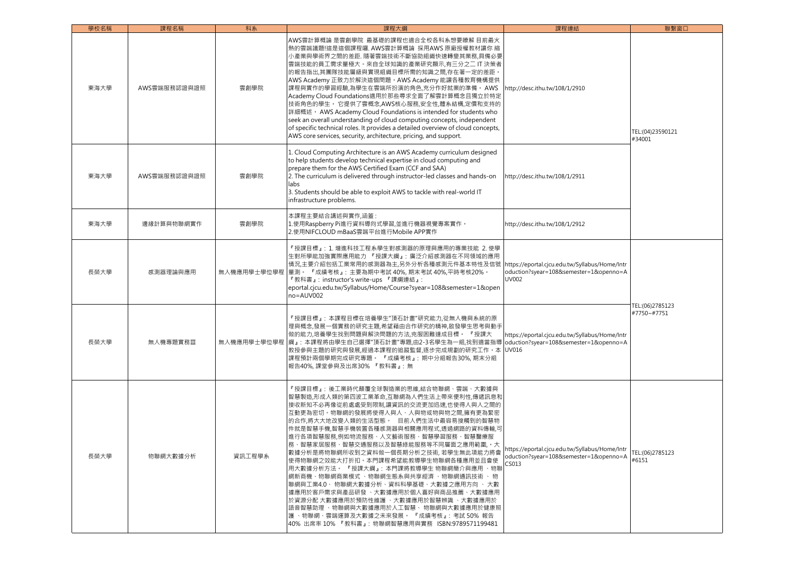| 學校名稱 | 課程名稱         | 科系          | 課程大綱                                                                                                                                                                                                                                                                                                                                                                                                                                                                                                                                                                                                                                                                                                                                                                       | 課程連結                                                                                              | 聯繫窗口                           |
|------|--------------|-------------|----------------------------------------------------------------------------------------------------------------------------------------------------------------------------------------------------------------------------------------------------------------------------------------------------------------------------------------------------------------------------------------------------------------------------------------------------------------------------------------------------------------------------------------------------------------------------------------------------------------------------------------------------------------------------------------------------------------------------------------------------------------------------|---------------------------------------------------------------------------------------------------|--------------------------------|
| 東海大學 | AWS雲端服務認證與證照 | 雲創學院        | AWS雲計算概論 是雲創學院 最基礎的課程也適合全校各科系想要瞭解 目前最火<br>熱的雲端議題!這是這個課程囉. AWS雲計算概論 採用AWS 原廠授權教材讓你 縮<br>小產業與學術界之間的差距. 隨著雲端技術不斷協助組織快速轉變其業務,具備必要<br>雲端技能的員工需求量極大·來自全球知識的產業研究顯示,有三分之二 IT 決策者<br>的報告指出,其團隊技能層級與實現組織目標所需的知識之間,存在著一定的差距。<br>AWS Academy 正致力於解決這個問題。AWS Academy 能讓各種教育機構提供<br>課程與實作的學習經驗,為學生在雲端所扮演的角色,充分作好就業的準備。 AWS<br>Academy Cloud Foundations適用於那些尋求全面了解雲計算概念且獨立於特定<br>技術角色的學生。 它提供了雲概念,AWS核心服務,安全性,體系結構,定價和支持的<br>詳細概述 • AWS Academy Cloud Foundations is intended for students who<br>seek an overall understanding of cloud computing concepts, independent<br>of specific technical roles. It provides a detailed overview of cloud concepts,<br>AWS core services, security, architecture, pricing, and support.                                                          | http://desc.ithu.tw/108/1/2910                                                                    | TEL:(04)23590121<br>#34001     |
| 東海大學 | AWS雲端服務認證與證照 | 雲創學院        | 1. Cloud Computing Architecture is an AWS Academy curriculum designed<br>to help students develop technical expertise in cloud computing and<br>prepare them for the AWS Certified Exam (CCF and SAA)<br>2. The curriculum is delivered through instructor-led classes and hands-on<br>labs<br>3. Students should be able to exploit AWS to tackle with real-world IT<br>infrastructure problems.                                                                                                                                                                                                                                                                                                                                                                          | http://desc.ithu.tw/108/1/2911                                                                    |                                |
| 東海大學 | 邊緣計算與物聯網實作   | 雲創學院        | 本課程主要結合講述與實作,涵蓋:<br>1.使用Raspberry Pi進行資料導向式學習,並進行機器視覺專案實作。<br>2.使用NIFCLOUD mBaaS雲端平台進行Mobile APP實作                                                                                                                                                                                                                                                                                                                                                                                                                                                                                                                                                                                                                                                                         | http://desc.ithu.tw/108/1/2912                                                                    |                                |
| 長榮大學 | 感測器理論與應用     |             | 『授課目標』: 1. 增進科技工程系學生對感測器的原理與應用的專業技能 2. 使學<br>生對所學能加強實際應用能力 『授課大綱』: 廣泛介紹感測器在不同領域的應用<br>情況,主要介紹包括工業常用的感測器為主,另外分析各種感測元件基本特性及信號<br>無人機應用學士學位學程  量測。 『成績考核』: 主要為期中考試 40%, 期末考試 40%,平時考核20%。<br>『教科書』: instructor's write-ups 『課綱連結』:<br>eportal.cjcu.edu.tw/Syllabus/Home/Course?syear=108&semester=1&open<br>no=AUV002                                                                                                                                                                                                                                                                                                                                                                                                                                                         | https://eportal.cjcu.edu.tw/Syllabus/Home/Intr<br>oduction?syear=108&semester=1&openno=A<br>UV002 | TEL:(06)2785123<br>#7750~#7751 |
| 長榮大學 | 無人機專題實務Ⅲ     | 無人機應用學士學位學程 | 『授課目標』: 本課程目標在培養學生"頂石計畫"研究能力,從無人機與系統的原<br>理與概念,發展一個實務的研究主題,希望藉由合作研究的精神,啟發學生思考與動手<br>做的能力,培養學生找到問題與解決問題的方法,克服困難達成目標。 『授課大<br> 綱』: 本課程將由學生自己選擇"頂石計畫"專題,由2-3名學生為一組,找到適當指導<br>教授參與主題的研究與發展,經過本課程的追蹤監督,逐步完成規劃的研究工作。本<br>課程預計兩個學期完成研究專題。 『成績考核』: 期中分組報告30%, 期末分組<br>報告40%,課堂參與及出席30% 『教科書』: 無                                                                                                                                                                                                                                                                                                                                                                                                                                                                                    | https://eportal.cjcu.edu.tw/Syllabus/Home/Intr<br>oduction?syear=108&semester=1&openno=A<br>UV016 |                                |
| 長榮大學 | 物聯網大數據分析     | 資訊工程學系      | 『授課目標』: 後工業時代顛覆全球製造業的思維,結合物聯網、雲端、大數據與<br>智慧製造,形成人類的第四波工業革命,互聯網為人們生活上帶來便利性,傳遞訊息和<br>接收新知不必再像從前處處受到限制,讓資訊的交流更加迅速,也使得人與人之間的<br>互動更為密切。物聯網的發展將使得人與人、人與物或物與物之間,擁有更為緊密<br>的合作,將大大地改變人類的生活型態。 目前人們生活中最容易接觸到的智慧物<br>件就是智慧手機,智慧手機裝置各種感測器與相關應用程式,透過網路的資料傳輸,可<br>進行各項智慧服務,例如物流服務、人文藝術服務、智慧學習服務、智慧醫療服<br>務、智慧家居服務、智慧交通服務以及智慧綠能服務等不同層面之應用範圍,。大<br>數據分析是將物聯網所收到之資料做一個長期分析之技術, 若學生無此項能力將會<br>使得物聯網之效能大打折扣。本門課程希望能教導學生物聯網各種應用並且會使<br>用大數據分析方法。 『授課大綱』: 本門課將教導學生 物聯網簡介與應用 、物聯<br>網新商機、物聯網商業模式 、物聯網生態系與共享經濟 、物聯網通訊技術 、 物<br>聯網與工業4.0、 物聯網大數據分析、資料科學基礎、大數據之應用方向 、 大數<br>據應用於客戶需求與產品研發 、大數據應用於個人喜好與商品推薦、大數據應用<br>於資源分配 大數據應用於預防性維護 、大數據應用於智慧辨識 、大數據應用於<br>語音智慧助理 、物聯網與大數據應用於人工智慧、 物聯網與大數據應用於健康照<br>護 、物聯網、雲端運算及大數據之未來發展。 『成績考核』: 考試 50% 報告<br>40% 出席率 10% 『教科書』: 物聯網智慧應用與實務 ISBN:9789571199481 | nttps://eportal.cjcu.edu.tw/Syllabus/Home/Intr<br>oduction?syear=108&semester=1&openno=A<br>CS013 | TEL:(06)2785123<br>#6151       |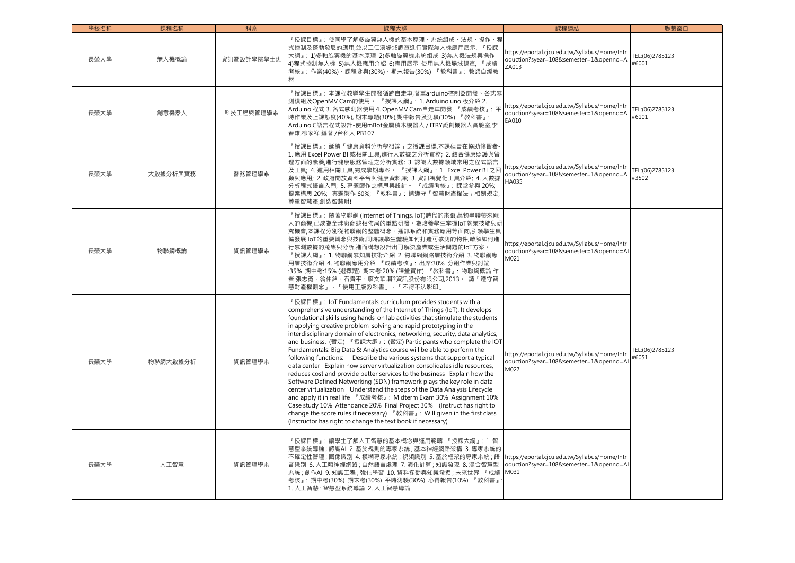| 學校名稱 | 課程名稱     | 科系         | 課程大綱                                                                                                                                                                                                                                                                                                                                                                                                                                                                                                                                                                                                                                                                                                                                                                                                                                                                                                                                                                                                                                                                                                                                                                                                                   | 課程連結                                                                                                     | 聯繫窗口                     |
|------|----------|------------|------------------------------------------------------------------------------------------------------------------------------------------------------------------------------------------------------------------------------------------------------------------------------------------------------------------------------------------------------------------------------------------------------------------------------------------------------------------------------------------------------------------------------------------------------------------------------------------------------------------------------------------------------------------------------------------------------------------------------------------------------------------------------------------------------------------------------------------------------------------------------------------------------------------------------------------------------------------------------------------------------------------------------------------------------------------------------------------------------------------------------------------------------------------------------------------------------------------------|----------------------------------------------------------------------------------------------------------|--------------------------|
| 長榮大學 | 無人機概論    | 資訊暨設計學院學士班 | 『授課目標』: 使同學了解多旋翼無人機的基本原理、系統組成、法規、操作、程<br>式控制及蓬勃發展的應用,並以二仁溪場域調查進行實際無人機應用展示, 『授課<br>大綱』: 1)多軸旋翼機的基本原理 2)多軸旋翼機系統組成 3)無人機法規與操作<br>4)程式控制無人機 5)無人機應用介紹 6)應用展示-使用無人機場域調查,『成績<br>考核』:作業(40%)、課程參與(30%)、期末報告(30%) 『教科書』: 教師自編教<br>材                                                                                                                                                                                                                                                                                                                                                                                                                                                                                                                                                                                                                                                                                                                                                                                                                                                                                                                                                                                            | https://eportal.cjcu.edu.tw/Syllabus/Home/Intr<br>oduction?syear=108&semester=1&openno=A<br>ZA013        | TEL:(06)2785123<br>#6001 |
| 長榮大學 | 創意機器人    | 科技工程與管理學系  | 『授課目標』: 本課程教導學生開發循跡自走車,著重arduino控制器開發、各式感<br>測模組及OpenMV Cam的使用。 『授課大綱』: 1. Arduino uno 板介紹 2.<br>Arduino 程式 3. 各式感測器使用 4. OpenMV Cam自走車開發 『成績考核』: 平<br>時作業及上課態度(40%), 期末專題(30%),期中報告及測驗(30%) 『教科書』:<br>Arduino C語言程式設計-使用mBot金屬積木機器人 / ITRY愛創機器人實驗室,李<br>春雄,柳家祥 編著 /台科大 PB107                                                                                                                                                                                                                                                                                                                                                                                                                                                                                                                                                                                                                                                                                                                                                                                                                                                                                                                                          | https://eportal.cjcu.edu.tw/Syllabus/Home/Intr<br>oduction?syear=108&semester=1&openno=A<br>EA010        | TEL:(06)2785123<br>#6101 |
| 長榮大學 | 大數據分析與實務 | 醫務管理學系     | 『授課目標』: 延續「健康資料分析學概論」之授課目標,本課程旨在協助修習者·<br>1. 應用 Excel Power BI 或相關工具,進行大數據之分析實務; 2. 結合健康照護與管<br>理方面的素養,進行健康服務管理之分析實務; 3. 認識大數據領域常用之程式語言<br>及工具; 4. 運用相關工具,完成學期專案。 『授課大綱』: 1. Excel Power BI 之回<br>顧與應用; 2. 政府開放資料平台與健康資料庫; 3. 資訊視覺化工具介紹; 4. 大數據<br>分析程式語言入門; 5. 專題製作之構思與設計。 『成績考核』: 課堂參與 20%;<br>提案構思 20%;專題製作 60%;『教科書』:請遵守「智慧財產權法」相關規定,<br>尊重智慧產,創造智慧財!                                                                                                                                                                                                                                                                                                                                                                                                                                                                                                                                                                                                                                                                                                                                                                                                                                                              | https://eportal.cjcu.edu.tw/Syllabus/Home/Intr<br>oduction?syear=108&semester=1&openno=A<br><b>HA035</b> | TEL:(06)2785123<br>#3502 |
| 長榮大學 | 物聯網概論    | 資訊管理學系     | 『授課目標』: 隨著物聯網 (Internet of Things, IoT)時代的來臨,萬物串聯帶來龐<br>大的商機,已成為全球廠商競相佈局的重點研發。為培養學生掌握IoT就業技能與研<br>究機會,本課程分別從物聯網的整體概念、通訊系統和實務應用等面向,引領學生具<br>備發展 IoT的重要觀念與技術,同時讓學生體驗如何打造可感測的物件,瞭解如何進<br>行感測數據的蒐集與分析,進而構想設計出可解決產業或生活問題的IoT方案<br>『授課大綱』: 1. 物聯網感知層技術介紹 2. 物聯網網路層技術介紹 3. 物聯網應<br>用層技術介紹 4. 物聯網應用介紹 『成績考核』: 出席:30% 分組作業與討論<br>:35% 期中考:15%(選擇題) 期末考:20%(課堂實作) 『教科書』: 物聯網概論 作<br>者:張志勇、翁仲銘、石貴平、廖文華,碁?資訊股份有限公司,2013。 請「遵守智<br>慧財產權觀念」、「使用正版教科書」、「不得不法影印」                                                                                                                                                                                                                                                                                                                                                                                                                                                                                                                                                                                                                                                                                                                                                                       | https://eportal.cjcu.edu.tw/Syllabus/Home/Intr<br>oduction?syear=108&semester=1&openno=Al<br>M021        |                          |
| 長榮大學 | 物聯網大數據分析 | 資訊管理學系     | 『授課目標』: IoT Fundamentals curriculum provides students with a<br>comprehensive understanding of the Internet of Things (IoT). It develops<br>foundational skills using hands-on lab activities that stimulate the students<br>in applying creative problem-solving and rapid prototyping in the<br>interdisciplinary domain of electronics, networking, security, data analytics,<br>and business. (暫定) 『授課大綱』: (暫定) Participants who complete the IOT<br>Fundamentals: Big Data & Analytics course will be able to perform the<br>following functions: Describe the various systems that support a typical<br>data center Explain how server virtualization consolidates idle resources,<br>reduces cost and provide better services to the business Explain how the<br>Software Defined Networking (SDN) framework plays the key role in data<br>center virtualization Understand the steps of the Data Analysis Lifecycle<br>and apply it in real life 『成績考核』: Midterm Exam 30% Assignment 10%<br>Case study 10% Attendance 20% Final Project 30% (Instruct has right to<br>change the score rules if necessary) 『教科書』: Will given in the first class<br>(Instructor has right to change the text book if necessary) | https://eportal.cjcu.edu.tw/Syllabus/Home/Intr<br>oduction?syear=108&semester=1&openno=Al<br>M027        | TEL:(06)2785123<br>#6051 |
| 長榮大學 | 人工智慧     | 資訊管理學系     | 『授課目標』: 讓學生了解人工智慧的基本概念與運用範疇 『授課大綱』: 1.智<br>慧型系統導論 ; 認識AI 2. 基於規則的專家系統 ; 基本神經網路架構 3. 專家系統的<br>不確定性管理 ; 圖像識別 4. 模糊專家系統 ; 視頻識別 5. 基於框架的專家系統 ; 語<br>音識別 6. 人工類神經網路 ; 自然語言處理 7. 演化計算 ; 知識發現 8. 混合智慧型<br>系統 ; 創作AI 9. 知識工程 ; 強化學習 10. 資料探勘與知識發掘 ; 未來世界 『 成績<br>考核』: 期中考(30%) 期末考(30%) 平時測驗(30%) 心得報告(10%) 『教科書』<br>1. 人工智慧:智慧型系統導論 2. 人工智慧導論                                                                                                                                                                                                                                                                                                                                                                                                                                                                                                                                                                                                                                                                                                                                                                                                                                                                                 | https://eportal.cjcu.edu.tw/Syllabus/Home/Intr<br>oduction?syear=108&semester=1&openno=Al<br>M031        |                          |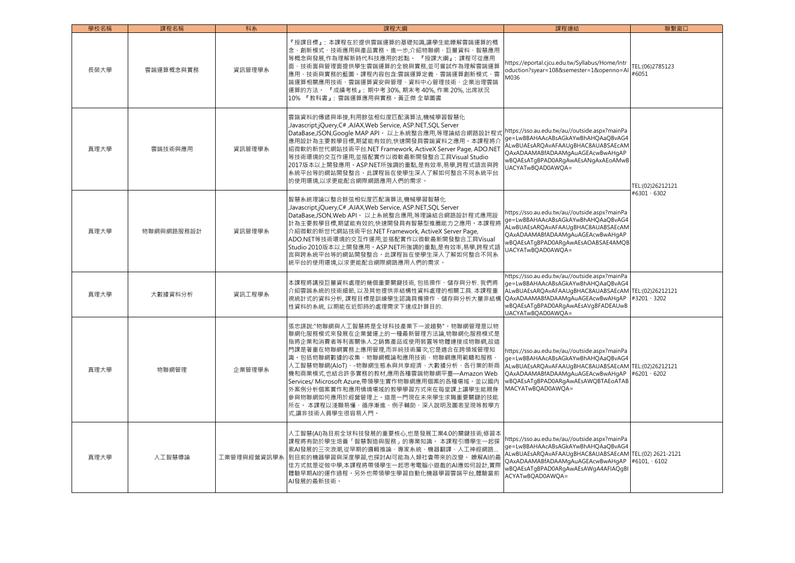| 學校名稱 | 課程名稱       | 科系          | 課程大綱                                                                                                                                                                                                                                                                                                                                                                                                                                                                                       | 課程連結                                                                                                                                                                                                                                        | 聯繫窗口                     |
|------|------------|-------------|--------------------------------------------------------------------------------------------------------------------------------------------------------------------------------------------------------------------------------------------------------------------------------------------------------------------------------------------------------------------------------------------------------------------------------------------------------------------------------------------|---------------------------------------------------------------------------------------------------------------------------------------------------------------------------------------------------------------------------------------------|--------------------------|
| 長榮大學 | 雲端運算概念與實務  | 資訊管理學系      | 『授課目標』:本課程在於提供雲端運算的基礎知識.讓學生能瞭解雲端運算的概<br>念、創新模式、技術應用與產品實務。進一步,介紹物聯網、巨量資料、智慧應用<br>等概念與發展,作為理解新時代科技應用的起點。 『授課大綱』: 課程可從應用<br>面、技術面與管理面提供學生雲端運算的全貌與實務.並可嘗試作為理解雲端運算<br>應用、技術與實務的藍圖。課程內容包含:雲端運算定義、雲端運算創新模式、雲<br>端運算相關應用技術、雲端運算資安與管理、資料中心管理技術、企業治理雲端<br>運算的方法。 『成績考核』: 期中考 30%, 期末考 40%, 作業 20%, 出席狀況<br>10% 『教科書』:雲端運算應用與實務·黃正傑 全華圖書                                                                                                                                                              | https://eportal.cjcu.edu.tw/Syllabus/Home/Intr<br>oduction?syear=108&semester=1&openno=Al<br>M036                                                                                                                                           | TEL:(06)2785123<br>#6051 |
| 真理大學 | 雲端技術與應用    | 資訊管理學系      | 雲端資料的傳遞與串接,利用餘弦相似度匹配演算法,機械學習智慧化<br>Javascript,jQuery,C#,AJAX,Web Service, ASP.NET,SQL Server<br>DataBase,JSON,Google MAP API。以上系統整合應用,等理論結合網路設計程式<br>應用設計為主要教學目標,期望能有效的,快速開發具雲端資料之應用。本課程將介<br>紹微軟的新世代網站技術平台.NET Framework, ActiveX Server Page, ADO.NET<br>等技術環境的交互作運用,並搭配實作以微軟最新開發整合工具Visual Studio<br>2017版本以上開發應用。ASP.NET所強調的重點,是有效率,易學,跨程式語言與跨<br>系統平台等的網站開發整合。此課程旨在使學生深入了解如何整合不同系統平台<br>的使用環境,以求更能配合網際網路應用人們的需求。                                                                      | https://sso.au.edu.tw/au//outside.aspx?mainPa<br>ge=LwBBAHAAcABsAGkAYwBhAHOAaOBvAG4<br>ALwBUAEsARQAvAFAAUgBHAC8AUABSAEcAM<br>QAxADAAMABfADAAMgAuAGEAcwBwAHgAP<br>wBQAEsATgBPAD0ARgAwAEsANgAxAEoAMwB<br>UACYATwBOAD0AWOA=                    | TEL:(02)26212121         |
| 真理大學 | 物聯網與網路服務設計 | 資訊管理學系      | 智慧系統理論以整合餘弦相似度匹配演算法,機械學習智慧化<br>Javascript,jQuery,C#,AJAX,Web Service, ASP.NET,SQL Server,<br>DataBase,JSON,Web API · 以上系統整合應用,等理論結合網路設計程式應用設<br>計為主要教學目標,期望能有效的,快速開發具有智慧型推薦能力之應用。本課程將<br>介紹微軟的新世代網站技術平台.NET Framework, ActiveX Server Page,<br>ADO.NET等技術環境的交互作運用,並搭配實作以微軟最新開發整合工具Visual<br>Studio 2010版本以上開發應用。ASP.NET所強調的重點,是有效率,易學,跨程式語<br>言與跨系統平台等的網站開發整合。此課程旨在使學生深入了解如何整合不同系<br>統平台的使用環境,以求更能配合網際網路應用人們的需求。                                                                           | https://sso.au.edu.tw/au//outside.aspx?mainPa<br>ge=LwBBAHAAcABsAGkAYwBhAHQAaQBvAG4<br>ALwBUAEsARQAvAFAAUgBHAC8AUABSAEcAM<br>QAxADAAMABfADAAMgAuAGEAcwBwAHqAP<br>wBQAEsATgBPAD0ARgAwAEsAOABSAE4AMQB<br>UACYATwBOAD0AWOA=                    | #6301 \ 6302             |
| 真理大學 | 大數據資料分析    | 資訊工程學系      | 本課程將講授巨量資料處理的幾個重要關鍵技術, 包括操作、儲存與分析. 我們將<br>介紹雲端系統的技術細節, 以及其他提供非結構性資料處理的相關工具. 本課程重<br>視統計式的資料分析, 課程目標是訓練學生認識具備操作、儲存與分析大量非結構<br>性資料的系統, 以期能在近即時的處理需求下達成計算目的.                                                                                                                                                                                                                                                                                                                                  | https://sso.au.edu.tw/au//outside.aspx?mainPa<br>ge=LwBBAHAAcABsAGkAYwBhAHOAaOByAG4<br>ALwBUAEsAROAvAFAAUgBHAC8AUABSAEcAM TEL:(02)26212121<br>QAxADAAMABfADAAMqAuAGEAcwBwAHqAP<br>wBQAEsATgBPAD0ARgAwAEsAVgBFADEAUwB<br>UACYATwBOAD0AWOA=   | #3201 \ 3202             |
| 真理大學 | 物聯網管理      | 企業管理學系      | 張忠謀說:"物聯網與人工智慧將是全球科技產業下一波趨勢"。物聯網管理是以物<br>聯網化服務模式來發展在企業營運上的一種最新管理方法論,物聯網化服務模式是<br>指將企業和消費者等利害關係人之銷售產品或使用裝置等物體連接成物聯網,故這<br>門課是著重在物聯網實務上應用管理,而非純技術層次,它是適合在跨領域管理知<br>識。包括物聯網數據的收集、物聯網概論和應用技術、物聯網應用範疇和服務、<br>人工智慧物聯網(AloT)、-物聯網生態系與共享經濟、大數據分析、各行業的新商<br>機和商業模式,也結合許多實務的教材,應用各種雲端物聯網平臺—Amazon Web<br>Services/ Microsoft Azure,帶領學生實作物聯網應用個案的各種場域。並以國內<br>外案例分析個案實作和應用情境場域的教學學習方式來在每堂課上讓學生能親身<br>參與物聯網如何應用於經營管理上。這是一門現在未來學生求職重要關鍵的技能<br>所在。 本課程以淺顯易懂、循序漸進、例子輔助、深入說明及圖表呈現等教學方<br>式,讓非技術人員學生很容易入門。 | https://sso.au.edu.tw/au//outside.aspx?mainPa<br>ge=LwBBAHAAcABsAGkAYwBhAHQAaQBvAG4<br>ALwBUAEsAROAvAFAAUgBHAC8AUABSAEcAM TEL:(02)26212121<br>QAxADAAMABfADAAMgAuAGEAcwBwAHgAP<br>wBQAEsATgBPAD0ARgAwAEsAWQBTAEoATAB<br>MACYATwBQAD0AWQA=   | #6201 \ 6202             |
| 真理大學 | 人工智慧導論     | 工業管理與經營資訊學系 | 人工智慧(AI)為目前全球科技發展的重要核心,也是發展工業4.0的關鍵技術,修習本<br>課程將有助於學生培養「智慧製造與服務」的專業知識。 本課程引導學生一起探<br>索AI發展的三次浪潮,從早期的邏輯推論、專家系統、機器翻譯、人工神經網路<br>┃到目前的機器學習與深度學習,也探討AI可能為人類社會帶來的改變。 瞭解AI的最<br>佳方式就是從做中學,本課程將帶領學生一起思考電腦小遊戲的AI應如何設計,實際<br>體驗早期AI的運作過程。另外也帶領學生學習自動化機器學習雲端平台,體驗當前<br>AI發展的最新技術。                                                                                                                                                                                                                     | https://sso.au.edu.tw/au//outside.aspx?mainPa<br>ge=LwBBAHAAcABsAGkAYwBhAHQAaQBvAG4<br>ALwBUAEsARQAvAFAAUqBHAC8AUABSAEcAM TEL:(02) 2621-2121<br>QAxADAAMABfADAAMgAuAGEAcwBwAHgAP<br>wBQAEsATgBPAD0ARgAwAEsAWgA4AFIAQgBI<br>ACYATwBQAD0AWQA= | $#6101.$ 6102            |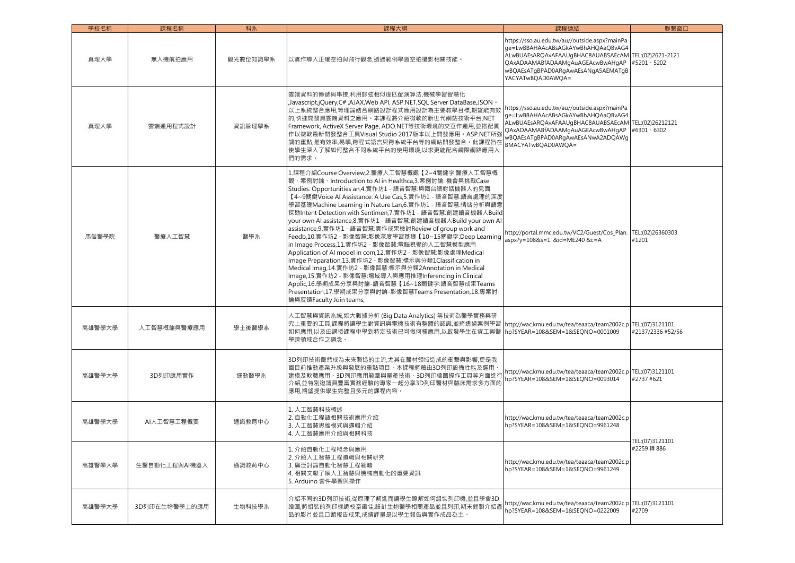| 學校名稱   | 課程名稱          | 科系       | 課程大綱                                                                                                                                                                                                                                                                                                                                                                                                                                                                                                                                                                                                                                                                                                                                                                                                                                                                                                                                                                                      | 課程連結                                                                                                                                                                                                                                       | 聯繫窗口                      |
|--------|---------------|----------|-------------------------------------------------------------------------------------------------------------------------------------------------------------------------------------------------------------------------------------------------------------------------------------------------------------------------------------------------------------------------------------------------------------------------------------------------------------------------------------------------------------------------------------------------------------------------------------------------------------------------------------------------------------------------------------------------------------------------------------------------------------------------------------------------------------------------------------------------------------------------------------------------------------------------------------------------------------------------------------------|--------------------------------------------------------------------------------------------------------------------------------------------------------------------------------------------------------------------------------------------|---------------------------|
| 真理大學   | 無人機航拍應用       | 觀光數位知識學系 | 以實作導入正確空拍與飛行觀念,透過範例學習空拍攝影相關技能。                                                                                                                                                                                                                                                                                                                                                                                                                                                                                                                                                                                                                                                                                                                                                                                                                                                                                                                                                            | https://sso.au.edu.tw/au//outside.aspx?mainPa<br>ge=LwBBAHAAcABsAGkAYwBhAHQAaQBvAG4<br>ALwBUAEsARQAvAFAAUqBHAC8AUABSAEcAM TEL:(02)2621-2121<br>QAxADAAMABfADAAMgAuAGEAcwBwAHgAP<br>wBQAEsATgBPAD0ARgAwAEsANgA5AEMATgB<br>YACYATwBQAD0AWQA= | #5201 \ 5202              |
| 真理大學   | 雲端運用程式設計      | 資訊管理學系   | 雲端資料的傳遞與串接,利用餘弦相似度匹配演算法,機械學習智慧化<br>, Javascript,jQuery,C# ,AJAX,Web API, ASP.NET,SQL Server DataBase,JSON,<br>以上系統整合應用,等理論結合網路設計程式應用設計為主要教學目標,期望能有效<br>的,快速開發具雲端資料之應用。本課程將介紹微軟的新世代網站技術平台.NET<br>Framework, ActiveX Server Page, ADO.NET等技術環境的交互作運用,並搭配實<br>作以微軟最新開發整合工具Visual Studio 2017版本以上開發應用。ASP.NET所強<br>調的重點,是有效率,易學,跨程式語言與跨系統平台等的網站開發整合。此課程旨在<br>使學生深入了解如何整合不同系統平台的使用環境,以求更能配合網際網路應用人<br>們的需求。                                                                                                                                                                                                                                                                                                                                                                                                                                                                                                                                                                                    | https://sso.au.edu.tw/au//outside.aspx?mainPa<br>ge=LwBBAHAAcABsAGkAYwBhAHQAaQBvAG4<br>ALwBUAEsARQAvAFAAUqBHAC8AUABSAEcAM TEL:(02)26212121<br>QAxADAAMABfADAAMgAuAGEAcwBwAHgAP<br>wBQAEsATgBPAD0ARgAwAEsANwA2ADQAWg<br>BMACYATwBQAD0AWQA=  | #6301 \ 6302              |
| 馬偕醫學院  | 醫療人工智慧        | 醫學系      | 1.課程介紹Course Overview,2.醫療人工智慧概觀【2~4關鍵字:醫療人工智慧概<br>觀、案例討論、Introduction to AI in Healthca,3.案例討論: 機會與挑戰Case<br>Studies: Opportunities an, 4. 實作坊1 - 語音智慧:與國台語對話機器人的見面<br>【4~9關鍵Voice AI Assistance: A Use Cas, 5.實作坊1 - 語音智慧:語言處理的深度<br>學習基礎Machine Learning in Nature Lan,6.實作坊1 - 語音智慧:情緒分析與語意<br>探勘Intent Detection with Sentimen,7.實作坊1 - 語音智慧:創建語音機器人Build<br>your own AI assistance, 8.實作坊1 - 語音智慧:創建語音機器人Build your own AI<br>assistance, 9.實作坊1 - 語音智慧:實作成果檢討Review of group work and<br>Feedb,10.實作坊2 - 影像智慧:影像深度學習基礎【10~15關鍵字:Deep Learning<br>in Image Process,11.實作坊2 - 影像智慧:電腦視覺的人工智慧模型應用<br>Application of AI model in com,12.實作坊2 - 影像智慧:影像處理Medical<br>Image Preparation,13.實作坊2 - 影像智慧:標示與分類1Classification in<br>Medical Imag,14.實作坊2 - 影像智慧:標示與分類2Annotation in Medical<br>Image,15.實作坊2 - 影像智慧:場域導入與應用推理Inferencing in Clinical<br>Applic,16.學期成果分享與討論-語音智慧【16~18關鍵字:語音智慧成果Teams<br>Presentation,17.學期成果分享與討論-影像智慧Teams Presentation,18.專案討<br>論與反饋Faculty Join teams, | http://portal.mmc.edu.tw/VC2/Guest/Cos_Plan.<br>aspx?y=108&s=1 &id=ME240 &c=A                                                                                                                                                              | TEL:(02)26360303<br>#1201 |
| 高雄醫學大學 | 人工智慧概論與醫療應用   | 學士後醫學系   | 人工智慧與資訊系統,如大數據分析 (Big Data Analytics) 等技術為醫學實務與研<br>究上重要的工具,課程將讓學生對資訊與電機技術有整體的認識,並將透過案例學習  http://wac.kmu.edu.tw/tea/teaaca/team2002c.p TEL:(07)3121101<br>如何應用,以及由講授課程中學到特定技術已可做何種應用,以啟發學生在資工與醫<br>學跨領域合作之鋼念。                                                                                                                                                                                                                                                                                                                                                                                                                                                                                                                                                                                                                                                                                                                                                                            | hp?SYEAR=108&SEM=1&SEQNO=0001009                                                                                                                                                                                                           | #2137/2336 #52/56         |
| 高雄醫學大學 | 3D列印應用實作      | 運動醫學系    | 3D列印技術儼然成為未來製造的主流,尤其在醫材領域造成的衝擊與影響,更是我<br>國目前推動產業升級與發展的重點項目。本課程將藉由3D列印設備性能及選用<br>建模及軟體應用、3D列印應用範圍與量產技術、3D列印繪圖操作工具等方面進行<br>介紹,並特別邀請具豐富實務經驗的專家一起分享3D列印醫材與臨床需求多方面的<br>應用,期望提供學生完整且多元的課程內容。                                                                                                                                                                                                                                                                                                                                                                                                                                                                                                                                                                                                                                                                                                                                                                                                    | http://wac.kmu.edu.tw/tea/teaaca/team2002c.p TEL:(07)3121101<br>hp?SYEAR=108&SEM=1&SEONO=0093014                                                                                                                                           | #2737 #621                |
| 高雄醫學大學 | AI人工智慧工程概要    | 通識教育中心   | 1. 人工智慧科技概述<br>2. 自動化工程語相關技術應用介紹<br>3. 人工智慧思維模式與邏輯介紹<br>4. 人工智慧應用介紹與相關科技                                                                                                                                                                                                                                                                                                                                                                                                                                                                                                                                                                                                                                                                                                                                                                                                                                                                                                                  | http://wac.kmu.edu.tw/tea/teaaca/team2002c.p<br>hp?SYEAR=108&SEM=1&SEONO=9961248                                                                                                                                                           | TEL:(07)3121101           |
| 高雄醫學大學 | 生醫自動化工程與AI機器人 | 通識教育中心   | 1. 介紹自動化工程概念與應用<br> 2. 介紹人工智慧工程邏輯與相關研究<br>3. 廣泛討論自動化智慧工程範疇<br>4. 相關文獻了解人工智慧與機械自動化的重要資訊<br>5. Arduino 套件學習與操作                                                                                                                                                                                                                                                                                                                                                                                                                                                                                                                                                                                                                                                                                                                                                                                                                                                                              | http://wac.kmu.edu.tw/tea/teaaca/team2002c.p<br>hp?SYEAR=108&SEM=1&SEQNO=9961249                                                                                                                                                           | #2259 轉 886               |
| 高雄醫學大學 | 3D列印在生物醫學上的應用 | 生物科技學系   | 介紹不同的3D列印技術,從原理了解進而讓學生瞭解如何組裝列印機,並且學會3D<br>繪圖,將組裝的列印機調校至最佳,設計生物醫學相關產品並且列印,期末錄製介紹產<br>品的影片並且口頭報告成果,成績評量是以學生報告與實作成品為主。                                                                                                                                                                                                                                                                                                                                                                                                                                                                                                                                                                                                                                                                                                                                                                                                                                                                       | http://wac.kmu.edu.tw/tea/teaaca/team2002c.p TEL:(07)3121101<br>hp?SYEAR=108&SEM=1&SEONO=0222009                                                                                                                                           | #2709                     |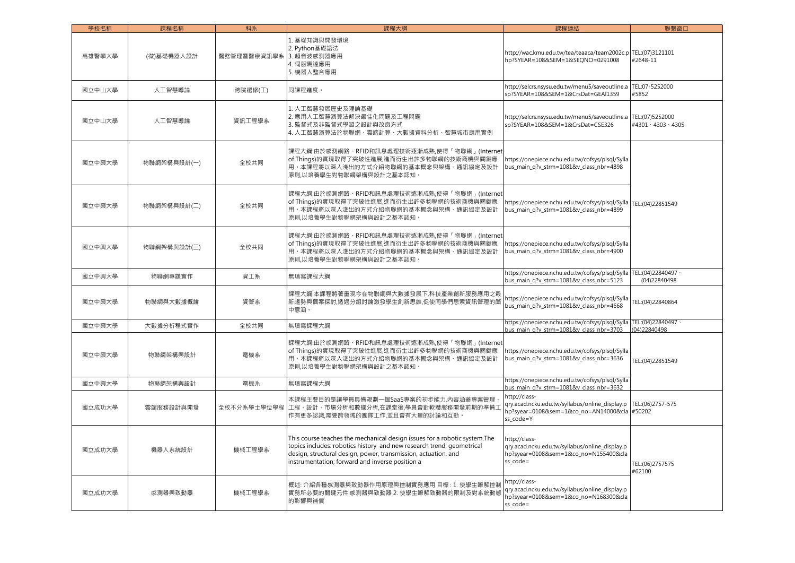| 學校名稱   | 課程名稱        | 科系          | 課程大綱                                                                                                                                                                                                                                                                     | 課程連結                                                                                                                         | 聯繫窗口                                   |
|--------|-------------|-------------|--------------------------------------------------------------------------------------------------------------------------------------------------------------------------------------------------------------------------------------------------------------------------|------------------------------------------------------------------------------------------------------------------------------|----------------------------------------|
| 高雄醫學大學 | (微)基礎機器人設計  | 醫務管理暨醫療資訊學系 | 1. 基礎知識與開發環境<br>2. Python基礎語法<br>3. 超音波感測器應用<br>4. 伺服馬達應用<br>5. 機器人整合應用                                                                                                                                                                                                  | http://wac.kmu.edu.tw/tea/teaaca/team2002c.p TEL:(07)3121101<br>hp?SYEAR=108&SEM=1&SEQNO=0291008                             | #2648-11                               |
| 國立中山大學 | 人工智慧導論      | 跨院選修(工)     | 同課程進度。                                                                                                                                                                                                                                                                   | http://selcrs.nsysu.edu.tw/menu5/saveoutline.a<br>sp?SYEAR=108&SEM=1&CrsDat=GEAI1359                                         | TEL:07-5252000<br>#5852                |
| 國立中山大學 | 人工智慧導論      | 資訊工程學系      | 1. 人工智慧發展歷史及理論基礎<br>2. 應用人工智慧演算法解決最佳化問題及工程問題<br>3. 監督式及非監督式學習之設計與改良方式<br>4. 人工智慧演算法於物聯網、雲端計算、大數據資料分析、智慧城市應用實例                                                                                                                                                            | http://selcrs.nsysu.edu.tw/menu5/saveoutline.a<br>sp?SYEAR=108&SEM=1&CrsDat=CSE326                                           | TEL:(07)5252000<br>#4301 \ 4303 \ 4305 |
| 國立中興大學 | 物聯網架構與設計(一) | 全校共同        | 課程大綱:由於感測網路、RFID和訊息處理技術逐漸成熟,使得「物聯網」(Internet<br>of Things)的實現取得了突破性進展,進而衍生出許多物聯網的技術商機與關鍵應<br>用。本課程將以深入淺出的方式介紹物聯網的基本概念與架構、通訊協定及設計<br>原則,以培養學生對物聯網架構與設計之基本認知。                                                                                                              | https://onepiece.nchu.edu.tw/cofsys/plsql/Sylla<br>bus_main_q?v_strm=1081&v_class_nbr=4898                                   |                                        |
| 國立中興大學 | 物聯網架構與設計(二) | 全校共同        | 課程大綱:由於感測網路、RFID和訊息處理技術逐漸成熟,使得「物聯網」(Internet<br>of Things)的實現取得了突破性進展,進而衍生出許多物聯網的技術商機與關鍵應<br>用。本課程將以深入淺出的方式介紹物聯網的基本概念與架構、通訊協定及設計<br>原則,以培養學生對物聯網架構與設計之基本認知。                                                                                                              | https://onepiece.nchu.edu.tw/cofsys/plsql/Sylla TEL:(04)22851549<br>bus_main_q?v_strm=1081&v_class_nbr=4899                  |                                        |
| 國立中興大學 | 物聯網架構與設計(三) | 全校共同        | 課程大綱:由於感測網路、RFID和訊息處理技術逐漸成熟,使得「物聯網」(Internet<br>of Things)的實現取得了突破性進展,進而衍生出許多物聯網的技術商機與關鍵應<br>用。本課程將以深入淺出的方式介紹物聯網的基本概念與架構、通訊協定及設計<br>原則,以培養學生對物聯網架構與設計之基本認知。                                                                                                              | https://onepiece.nchu.edu.tw/cofsys/plsql/Sylla<br>bus main q?v strm=1081&v class nbr=4900                                   |                                        |
| 國立中興大學 | 物聯網專題實作     | 資工系         | 無填寫課程大綱                                                                                                                                                                                                                                                                  | https://onepiece.nchu.edu.tw/cofsys/plsql/Sylla TEL:(04)22840497<br>bus_main_q?v_strm=1081&v_class_nbr=5123                  | (04)22840498                           |
| 國立中興大學 | 物聯網與大數據概論   | 資管系         | 課程大綱:本課程將著重現今在物聯網與大數據發展下,科技產業創新服務應用之最<br>,新趨勢與個案探討,透過分組討論激發學生創新思維,促使同學們思索資訊管理的箇<br>中意涵。                                                                                                                                                                                  | https://onepiece.nchu.edu.tw/cofsys/plsql/Sylla<br>bus_main_q?v_strm=1081&v_class_nbr=4668                                   | TEL:(04)22840864                       |
| 國立中興大學 | 大數據分析程式實作   | 全校共同        | 無填寫課程大綱                                                                                                                                                                                                                                                                  | https://onepiece.nchu.edu.tw/cofsys/plsql/Sylla TEL:(04)22840497<br>bus main g?v strm=1081&v class nbr=3703                  | (04)22840498                           |
| 國立中興大學 | 物聯網架構與設計    | 電機系         | 課程大綱:由於感測網路、RFID和訊息處理技術逐漸成熟,使得「物聯網」(Internet<br>of Things)的實現取得了突破性進展,進而衍生出許多物聯網的技術商機與關鍵應<br>用。本課程將以深入淺出的方式介紹物聯網的基本概念與架構、通訊協定及設計<br> 原則,以培養學生對物聯網架構與設計之基本認知 ·                                                                                                            | https://onepiece.nchu.edu.tw/cofsys/plsql/Sylla<br>bus_main_q?v_strm=1081&v_class_nbr=3636                                   | TEL:(04)22851549                       |
| 國立中興大學 | 物聯網架構與設計    | 電機系         | 無填寫課程大綱                                                                                                                                                                                                                                                                  | https://onepiece.nchu.edu.tw/cofsys/plsql/Sylla<br>bus main q?v strm=1081&v class nbr=3632                                   |                                        |
| 國立成功大學 | 雲端服務設計與開發   |             | 本課程主要目的是讓學員具備規劃一個SaaS專案的初步能力,內容涵蓋專案管理<br>全校不分系學士學位學程  工程、設計、市場分析和數據分析,在課堂後,學員會對軟體服務開發前期的準備工<br>作有更多認識,需要跨領域的團隊工作,並且會有大量的討論和互動。                                                                                                                                           | http://class-<br>qry.acad.ncku.edu.tw/syllabus/online_display.p<br>hp?syear=0108&sem=1&co_no=AN14000&cla #50202<br>ss_code=Y | TEL:(06)2757-575                       |
| 國立成功大學 | 機器人系統設計     | 機械工程學系      | This course teaches the mechanical design issues for a robotic system. The<br>topics includes: robotics history and new research trend; geometrical<br>design, structural design, power, transmission, actuation, and<br>instrumentation; forward and inverse position a | http://class-<br>qry.acad.ncku.edu.tw/syllabus/online_display.p<br>hp?syear=0108&sem=1&co no=N155400&cla<br>ss_code=         | TEL:(06)2757575<br>#62100              |
| 國立成功大學 | 感測器與致動器     | 機械工程學系      | 概述: 介紹各種感測器與致動器作用原理與控制實務應用 目標 : 1. 使學生瞭解控制<br>實務所必要的關鍵元件:感測器與致動器 2. 使學生瞭解致動器的限制及對系統動態<br>的影響與補償                                                                                                                                                                          | http://class-<br>qry.acad.ncku.edu.tw/syllabus/online_display.p<br>hp?syear=0108&sem=1&co no=N168300&cla<br>ss code=         |                                        |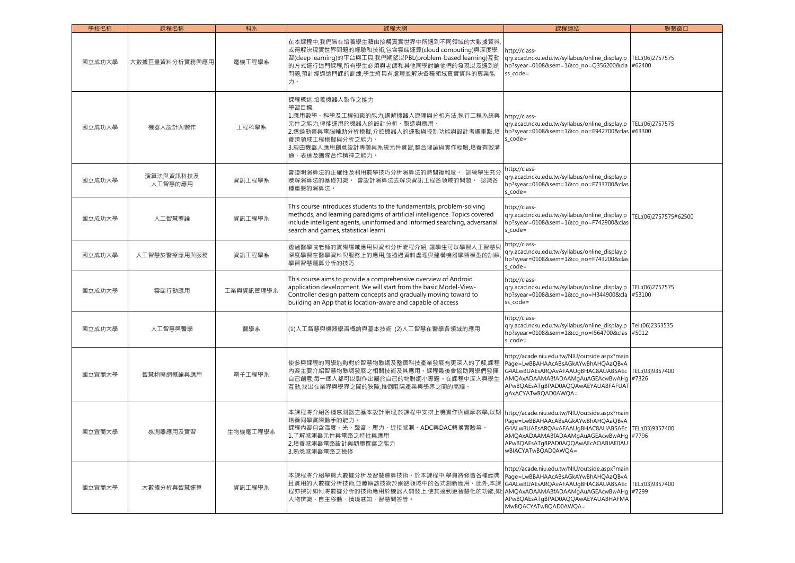| 學校名稱   | 課程名稱                 | 科系        | 課程大綱                                                                                                                                                                                                                                                                      | 課程連結                                                                                                                                                                                                                                             | 聯繫窗口                      |
|--------|----------------------|-----------|---------------------------------------------------------------------------------------------------------------------------------------------------------------------------------------------------------------------------------------------------------------------------|--------------------------------------------------------------------------------------------------------------------------------------------------------------------------------------------------------------------------------------------------|---------------------------|
| 國立成功大學 | 大數據巨量資料分析實務與應用       | 電機工程學系    | 在本課程中,我們旨在培養學生藉由接觸真實世界中所遇到不同領域的大數據資料<br>或得解決現實世界問題的經驗和技術,包含雲端運算(cloud computing)與深度學<br>習(deep learning)的平台與工具,我們期望以PBL(problem-based learning)互動<br>的方式運行這門課程,所有學生必須與老師和其他同學討論他們的發現以及遇到的<br>問題,預計經過這門課的訓練,學生將具有處理並解決各種領域真實資料的專業能<br>力。                                   | http://class-<br>qry.acad.ncku.edu.tw/syllabus/online_display.p<br>hp?syear=0108&sem=1&co no=Q356200&cla #62400<br>$ss code =$                                                                                                                   | TEL:(06)2757575           |
| 國立成功大學 | 機器人設計與製作             | 工程科學系     | 課程概述:培養機器人製作之能力<br>學習目標:<br>1.應用數學 · 科學及工程知識的能力,講解機器人原理與分析方法,執行工程 <mark>系統</mark> 與<br>元件之能力,俾能運用於機器人的設計分析、製造與應用。<br>2.透過動畫與電腦輔助分析模擬,介紹機器人的運動與控制功能與設計考慮重點,培<br>養跨領域工程模擬與分析之能力。<br>3.經由機器人應用創意設計專題與系統元件實習,整合理論與實作經驗,培養有效溝<br>通、表達及團隊合作精神之能力。                               | http://class-<br>qry.acad.ncku.edu.tw/syllabus/online_display.p<br>hp?syear=0108&sem=1&co_no=E942700&clas #63300<br>$s\_{code} =$                                                                                                                | TEL:(06)2757575           |
| 國立成功大學 | 演算法與資訊科技及<br>人工智慧的應用 | 資訊工程學系    | 會證明演算法的正確性及利用數學技巧分析演算法的時間複雜度。 訓練學生充分<br>瞭解演算法的基礎知識。 會設計演算法去解決資訊工程各領域的問題。 認識各<br>種重要的演算法。                                                                                                                                                                                  | nttp://class-<br>qry.acad.ncku.edu.tw/syllabus/online_display.p<br>hp?syear=0108&sem=1&co_no=F733700&clas<br>s $code=$                                                                                                                           |                           |
| 國立成功大學 | 人工智慧導論               | 資訊工程學系    | This course introduces students to the fundamentals, problem-solving<br>methods, and learning paradigms of artificial intelligence. Topics covered<br>include intelligent agents, uninformed and informed searching, adversarial<br>search and games, statistical learni  | http://class-<br>qry.acad.ncku.edu.tw/syllabus/online_display.p<br>hp?syear=0108&sem=1&co_no=F742900&clas<br>$s\_{code} =$                                                                                                                       | TEL:(06)2757575#62500     |
| 國立成功大學 | 人工智慧於醫療應用與服務         | 資訊工程學系    | 透過醫學院老師的實際場域應用與資料分析流程介紹, 讓學生可以學習人工智慧與<br>深度學習在醫學資料與服務上的應用,並透過資料處理與建構機器學習模型的訓練<br>學習智慧運算分析的技巧.                                                                                                                                                                             | http://class-<br>qry.acad.ncku.edu.tw/syllabus/online_display.p<br>hp?syear=0108&sem=1&co_no=F743200&clas<br>s $code=$                                                                                                                           |                           |
| 國立成功大學 | 雲端行動應用               | 工業與資訊管理學系 | This course aims to provide a comprehensive overview of Android<br>application development. We will start from the basic Model-View-<br>Controller design pattern concepts and gradually moving toward to<br>building an App that is location-aware and capable of access | http://class-<br>qry.acad.ncku.edu.tw/syllabus/online_display.p<br>hp?syear=0108&sem=1&co_no=H344900&cla<br>ss_code=                                                                                                                             | TEL:(06)2757575<br>#53100 |
| 國立成功大學 | 人工智慧與醫學              | 醫學系       | (1)人工智慧與機器學習概論與基本技術 (2)人工智慧在醫學各領域的應用                                                                                                                                                                                                                                      | http://class-<br>gry.acad.ncku.edu.tw/syllabus/online_display.p<br>hp?syear=0108&sem=1&co_no=I564700&clas<br>s $code=$                                                                                                                           | Tel:(06)2353535<br>#5012  |
| 國立宜蘭大學 | 智慧物聯網概論與應用           | 電子工程學系    | 使參與課程的同學能夠對於智慧物聯網及整個科技產業發展有更深入的了解,課程<br>内容主要介紹智慧物聯網發展之相關技術及其應用。課程最後會協助同學們發揮<br>自己創意,每一個人都可以製作出屬於自己的物聯網小專題。在課程中深入與學生<br>互動,找出在業界與學界之間的狹隙,推倒阻隔產業與學界之間的高牆。                                                                                                                   | http://acade.niu.edu.tw/NIU/outside.aspx?main<br>Page=LwBBAHAAcABsAGkAYwBhAHQAaQBvA<br>G4ALwBUAEsARQAvAFAAUgBHAC8AUABSAEc TEL:(03)9357400<br>AMQAxADAAMABfADAAMgAuAGEAcwBwAHg #7326<br>APwBQAEsATgBPAD0AQQAwAEYAUABFAFUA1<br>gAxACYATwBQAD0AWQA= |                           |
| 國立宜蘭大學 | 感測器應用及實習             | 生物機電工程學系  | 本課程將介紹各種感測器之基本設計原理,於課程中安排上機實作與觀摩教學,以期<br>培養同學實際動手的能力。<br>課程內容包含溫度、光、聲音、壓力、近接感測、ADC與DAC轉換實驗等。<br>1.了解感測器元件與電路之特性與應用<br>2.培養感測器電路設計與韌體撰寫之能力<br>3.熟悉感測器電路之檢修                                                                                                                 | http://acade.niu.edu.tw/NIU/outside.aspx?main<br>Page=LwBBAHAAcABsAGkAYwBhAHQAaQBvA<br>G4ALwBUAEsARQAvAFAAUgBHAC8AUABSAEc TEL:(03)9357400<br>AMQAxADAAMABfADAAMqAuAGEAcwBwAHq<br>APwBQAEsATgBPAD0AQQAwAEcAOABIAE0AU<br>wBIACYATwBQAD0AWQA=       | #7796                     |
| 國立宜蘭大學 | 大數據分析與智慧運算           | 資訊工程學系    | 本課程將介紹學員大數據分析及智慧運算技術。於本課程中,學員將修習各種經典<br>且實用的大數據分析技術,並瞭解該技術於網路領域中的各式創新應用。此外,本課<br>程亦探討如何將數據分析的技術應用於機器人開發上,使其達到更智慧化的功能,如:<br>人物辨識、自主移動、情境感知、智慧問答等。                                                                                                                          | http://acade.niu.edu.tw/NIU/outside.aspx?main<br>Page=LwBBAHAAcABsAGkAYwBhAHQAaQBvA<br>G4ALwBUAEsARQAvAFAAUqBHAC8AUABSAEc<br>AMQAxADAAMABfADAAMqAuAGEAcwBwAHq #7299<br>APwBQAEsATgBPAD0AQQAwAEYAUABHAFMA<br>MwBQACYATwBQAD0AWQA=                 | TEL:(03)9357400           |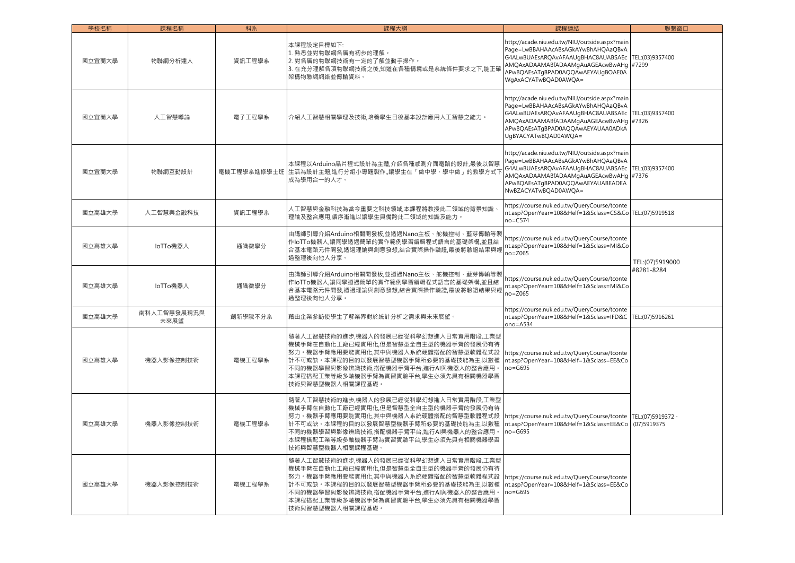| 學校名稱   | 課程名稱                | 科系      | 課程大綱                                                                                                                                                                                                                                                                 | 課程連結                                                                                                                                                                                                                                       | 聯繫窗口                             |
|--------|---------------------|---------|----------------------------------------------------------------------------------------------------------------------------------------------------------------------------------------------------------------------------------------------------------------------|--------------------------------------------------------------------------------------------------------------------------------------------------------------------------------------------------------------------------------------------|----------------------------------|
| 國立宜蘭大學 | 物聯網分析達人             | 資訊工程學系  | 本課程設定目標如下:<br>1. 熟悉並對物聯網各層有初步的理解。<br>2. 對各層的物聯網技術有一定的了解並動手操作。<br>3. 在充分理解各項物聯網技術之後,知道在各種情境或是系統條件要求之下,能正確<br>架構物聯網網絡並傳輸資料。                                                                                                                                            | http://acade.niu.edu.tw/NIU/outside.aspx?main<br>Page=LwBBAHAAcABsAGkAYwBhAHQAaQBvA<br>G4ALwBUAEsARQAvAFAAUgBHAC8AUABSAEc<br>AMQAxADAAMABfADAAMqAuAGEAcwBwAHq<br>APwBQAEsATgBPAD0AQQAwAEYAUgBOAE0A<br>WgAxACYATwBQAD0AWQA=                 | TEL:(03)9357400<br>#7299         |
| 國立宜蘭大學 | 人工智慧導論              | 電子工程學系  | 介紹人工智慧相關學理及技術,培養學生日後基本設計應用人工智慧之能力。                                                                                                                                                                                                                                   | http://acade.niu.edu.tw/NIU/outside.aspx?main<br>Page=LwBBAHAAcABsAGkAYwBhAHQAaQBvA<br>G4ALwBUAEsAROAvAFAAUqBHAC8AUABSAEc TEL:(03)9357400<br>AMQAxADAAMABfADAAMgAuAGEAcwBwAHg<br>APwBOAEsATaBPAD0AOOAwAEYAUAA0ADkA<br>UgBYACYATwBQAD0AWQA= | #7326                            |
| 國立宜蘭大學 | 物聯網互動設計             |         | 本課程以Arduino晶片程式設計為主體,介紹各種感測介面電路的設計,最後以智慧<br>電機工程學系進修學士班  生活為設計主題,進行分組小專題製作,.讓學生在「做中學、學中做」的教學方式7<br>成為學用合一的人才。                                                                                                                                                        | http://acade.niu.edu.tw/NIU/outside.aspx?main<br>Page=LwBBAHAAcABsAGkAYwBhAHQAaQBvA<br>G4ALwBUAEsARQAvAFAAUgBHAC8AUABSAEc<br>AMQAxADAAMABfADAAMgAuAGEAcwBwAHg<br>APwBQAEsATgBPAD0AQQAwAEYAUABEADEA<br>NwBZACYATwBQAD0AWQA=                 | TEL:(03)9357400<br>#7376         |
| 國立高雄大學 | 人工智慧與金融科技           | 資訊工程學系  | 人工智慧與金融科技為當今重要之科技領域,本課程將教授此二領域的背景知識<br>理論及整合應用,循序漸進以讓學生具備跨此二領域的知識及能力。                                                                                                                                                                                                | https://course.nuk.edu.tw/QueryCourse/tconte<br>nt.asp?OpenYear=108&Helf=1&Sclass=CS&Co TEL:(07)5919518<br>$no = C574$                                                                                                                     |                                  |
| 國立高雄大學 | loTTo機器人            | 通識微學分   | 由講師引導介紹Arduino相關開發板,並透過Nano主板、舵機控制、藍芽傳輸等製<br>作IoTTo機器人,讓同學透過簡單的實作範例學習編輯程式語言的基礎架構,並且結<br>合基本電路元件開發,透過理論與創意發想,結合實際操作驗證,最後將驗證結果與經<br>過整理後向他人分享。                                                                                                                         | https://course.nuk.edu.tw/QueryCourse/tconte<br>nt.asp?OpenYear=108&Helf=1&Sclass=MI&Co<br>$no = Z065$                                                                                                                                     | TEL:(07)5919000<br>#8281-8284    |
| 國立高雄大學 | loTTo機器人            | 通識微學分   | 由講師引導介紹Arduino相關開發板,並透過Nano主板、舵機控制、藍芽傳輸等製<br>作loTTo機器人,讓同學透過簡單的實作範例學習編輯程式語言的基礎架構,並且結<br>合基本電路元件開發,透過理論與創意發想,結合實際操作驗證,最後將驗證結果與經<br>過整理後向他人分享。                                                                                                                         | https://course.nuk.edu.tw/QueryCourse/tconte<br>nt.asp?OpenYear=108&Helf=1&Sclass=MI&Co<br>$no = Z065$                                                                                                                                     |                                  |
| 國立高雄大學 | 南科人工智慧發展現況與<br>未來展望 | 創新學院不分系 | 藉由企業參訪使學生了解業界對於統計分析之需求與未來展望。                                                                                                                                                                                                                                         | https://course.nuk.edu.tw/QueryCourse/tconte<br>nt.asp?OpenYear=108&Helf=1&Sclass=IFD&C TEL:(07)5916261<br>ono= $A534$                                                                                                                     |                                  |
| 國立高雄大學 | 機器人影像控制技術           | 電機工程學系  | 隨著人工智慧技術的進步,機器人的發展已經從科學幻想進入日常實用階段,工業型<br>機械手臂在自動化工廠已經實用化,但是智慧型全自主型的機器手臂的發展仍有待<br>努力。機器手臂應用要能實用化,其中與機器人系統硬體搭配的智慧型軟體程式設<br>計不可或缺。本課程的目的以發展智慧型機器手臂所必要的基礎技能為主,以數種<br>不同的機器學習與影像辨識技術,搭配機器手臂平台,進行AI與機器人的整合應用<br>本課程搭配工業等級多軸機器手臂為實習實驗平台,學生必須先具有相關機器學習<br>技術與智慧型機器人相關課程基礎。   | https://course.nuk.edu.tw/QueryCourse/tconte<br>nt.asp?OpenYear=108&Helf=1&Sclass=EE&Co<br>$no = G695$                                                                                                                                     |                                  |
| 國立高雄大學 | 機器人影像控制技術           | 電機工程學系  | 隨著人工智慧技術的進步,機器人的發展已經從科學幻想進入日常實用階段,工業型<br>機械手臂在自動化工廠已經實用化,但是智慧型全自主型的機器手臂的發展仍有待<br>努力。機器手臂應用要能實用化,其中與機器人系統硬體搭配的智慧型軟體程式設<br>計不可或缺。本課程的目的以發展智慧型機器手臂所必要的基礎技能為主,以數種<br>不同的機器學習與影像辨識技術,搭配機器手臂平台,進行AI與機器人的整合應用 ·<br>本課程搭配工業等級多軸機器手臂為實習實驗平台,學生必須先具有相關機器學習<br>技術與智慧型機器人相關課程基礎。 | https://course.nuk.edu.tw/QueryCourse/tconte<br>nt.asp?OpenYear=108&Helf=1&Sclass=EE&Cc<br>$no = G695$                                                                                                                                     | TEL:(07)5919372 \<br>(07)5919375 |
| 國立高雄大學 | 機器人影像控制技術           | 電機工程學系  | 隨著人工智慧技術的進步,機器人的發展已經從科學幻想進入日常實用階段,工業型<br>機械手臂在自動化工廠已經實用化,但是智慧型全自主型的機器手臂的發展仍有待<br>努力。機器手臂應用要能實用化,其中與機器人系統硬體搭配的智慧型軟體程式設<br>計不可或缺。本課程的目的以發展智慧型機器手臂所必要的基礎技能為主,以數種<br>不同的機器學習與影像辨識技術,搭配機器手臂平台,進行AI與機器人的整合應用<br>本課程搭配工業等級多軸機器手臂為實習實驗平台,學生必須先具有相關機器學習<br>技術與智慧型機器人相關課程基礎。   | https://course.nuk.edu.tw/QueryCourse/tconte<br>nt.asp?OpenYear=108&Helf=1&Sclass=EE&Co<br>$no = G695$                                                                                                                                     |                                  |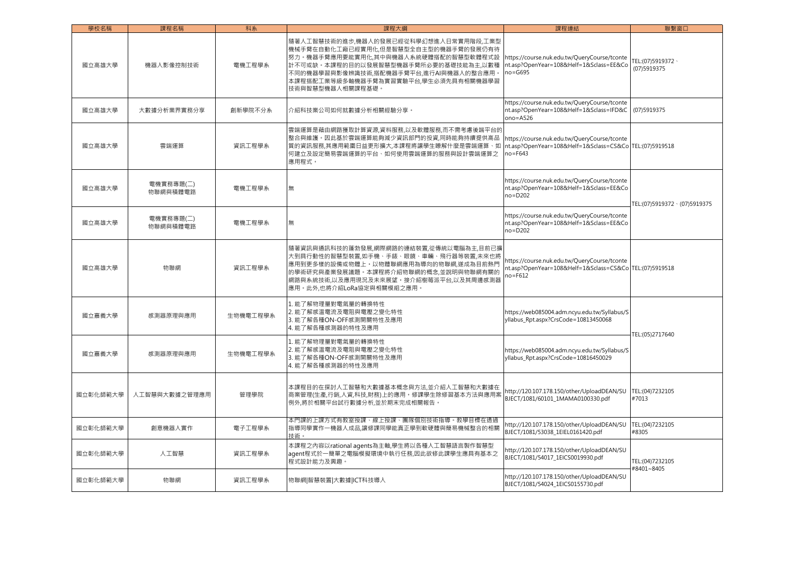| 學校名稱     | 課程名稱                  | 科系       | 課程大綱                                                                                                                                                                                                                                                                | 課程連結                                                                                                                   | 聯繫窗口                             |
|----------|-----------------------|----------|---------------------------------------------------------------------------------------------------------------------------------------------------------------------------------------------------------------------------------------------------------------------|------------------------------------------------------------------------------------------------------------------------|----------------------------------|
| 國立高雄大學   | 機器人影像控制技術             | 電機工程學系   | 隨著人工智慧技術的進步,機器人的發展已經從科學幻想進入日常實用階段,工業型<br>機械手臂在自動化工廠已經實用化,但是智慧型全自主型的機器手臂的發展仍有待<br>努力。機器手臂應用要能實用化,其中與機器人系統硬體搭配的智慧型軟體程式設<br>計不可或缺。本課程的目的以發展智慧型機器手臂所必要的基礎技能為主,以數種<br>不同的機器學習與影像辨識技術,搭配機器手臂平台,進行AI與機器人的整合應用。<br>本課程搭配工業等級多軸機器手臂為實習實驗平台,學生必須先具有相關機器學習<br>技術與智慧型機器人相關課程基礎。 | https://course.nuk.edu.tw/QueryCourse/tconte<br>nt.asp?OpenYear=108&Helf=1&Sclass=EE&Co<br>$no = G695$                 | TEL:(07)5919372 \<br>(07)5919375 |
| 國立高雄大學   | 大數據分析業界實務分享           | 創新學院不分系  | 介紹科技業公司如何就數據分析相關經驗分享。                                                                                                                                                                                                                                               | https://course.nuk.edu.tw/QueryCourse/tconte<br>nt.asp?OpenYear=108&Helf=1&Sclass=IFD&C<br>$ono = A526$                | (07)5919375                      |
| 國立高雄大學   | 雲端運算                  | 資訊工程學系   | 雲端運算是藉由網路獲取計算資源,資料服務,以及軟體服務,而不需考慮後端平台的<br>整合與維護,因此基於雲端運算能夠減少資訊部門的投資,同時能夠持續提供高品<br>質的資訊服務,其應用範圍日益更形擴大,本課程將讓學生瞭解什麼是雲端運算、如<br>何建立及設定簡易雲端運算的平台、如何使用雲端運算的服務與設計雲端運算之<br>應用程式。                                                                                             | https://course.nuk.edu.tw/QueryCourse/tconte<br>nt.asp?OpenYear=108&Helf=1&Sclass=CS&Co TEL:(07)5919518<br>$no = F643$ |                                  |
| 國立高雄大學   | 電機實務專題(二)<br>物聯網與積體電路 | 電機工程學系   | 無                                                                                                                                                                                                                                                                   | https://course.nuk.edu.tw/QueryCourse/tconte<br>nt.asp?OpenYear=108&Helf=1&Sclass=EE&Co<br>$no = D202$                 | TEL:(07)5919372 \(07)5919375     |
| 國立高雄大學   | 電機實務專題(二)<br>物聯網與積體電路 | 電機工程學系   | 無                                                                                                                                                                                                                                                                   | https://course.nuk.edu.tw/QueryCourse/tconte<br>nt.asp?OpenYear=108&Helf=1&Sclass=EE&Co<br>no=D202                     |                                  |
| 國立高雄大學   | 物聯網                   | 資訊工程學系   | 隨著資訊與通訊科技的蓬勃發展,網際網路的連結裝置,從傳統以電腦為主,目前已擴<br>大到具行動性的智慧型裝置,如手機、手錶、眼鏡、車輛、飛行器等裝置,未來也將<br>應用到更多樣的設備或物體上。以物體聯網應用為導向的物聯網,遂成為目前熱門<br>的學術研究與產業發展議題。本課程將介紹物聯網的概念,並說明與物聯網有關的<br>網路與系統技術,以及應用現況及未來展望。接介紹樹莓派平台,以及其周邊感測器<br>應用。此外,也將介紹LoRa協定與相關模組之應用。                               | https://course.nuk.edu.tw/QueryCourse/tconte<br>nt.asp?OpenYear=108&Helf=1&Sclass=CS&Co TEL:(07)5919518<br>no=F612     |                                  |
| 國立嘉義大學   | 感測器原理與應用              | 生物機電工程學系 | 1. 能了解物理量對電氣量的轉換特性<br>2. 能了解感溫電流及電阻與電壓之變化特性<br>3. 能了解各種ON-OFF感測開關特性及應用<br>4. 能了解各種感測器的特性及應用                                                                                                                                                                         | https://web085004.adm.ncyu.edu.tw/Syllabus/S<br>yllabus_Rpt.aspx?CrsCode=10813450068                                   | TEL:(05)2717640                  |
| 國立嘉義大學   | 感測器原理與應用              | 生物機電工程學系 | 1. 能了解物理量對電氣量的轉換特性<br>2. 能了解感溫電流及電阻與電壓之變化特性<br>3. 能了解各種ON-OFF感測開關特性及應用<br>4. 能了解各種感測器的特性及應用                                                                                                                                                                         | https://web085004.adm.ncyu.edu.tw/Syllabus/S<br>yllabus_Rpt.aspx?CrsCode=10816450029                                   |                                  |
| 國立彰化師範大學 | 人工智慧與大數據之管理應用         | 管理學院     | 本課程目的在探討人工智慧和大數據基本概念與方法,並介紹人工智慧和大數據在<br>商業管理(生產,行銷,人資,科技,財務)上的應用。修課學生除修習基本方法與應用案<br>例外,將於相關平台試行數據分析,並於期末完成相關報告。                                                                                                                                                     | http://120.107.178.150/other/UploadDEAN/SU<br>BJECT/1081/60101_1MAMA0100330.pdf                                        | TEL:(04)7232105<br>#7013         |
| 國立彰化師範大學 | 創意機器人實作               | 電子工程學系   | 本門課的上課方式有教室授課、線上授課、團隊個別技術指導。教學目標在透過<br>指導同學實作一機器人成品,讓修課同學能真正學到軟硬體與簡易機械整合的相關<br>技術。                                                                                                                                                                                  | http://120.107.178.150/other/UploadDEAN/SU<br>BJECT/1081/53038 1EIEL0161420.pdf                                        | TEL:(04)7232105<br>#8305         |
| 國立彰化師範大學 | 人工智慧                  | 資訊工程學系   | 本課程之內容以rational agents為主軸,學生將以各種人工智慧語言製作智慧型<br>agent程式於一簡單之電腦模擬環境中執行任務,因此欲修此課學生應具有基本之<br>程式設計能力及興趣。                                                                                                                                                                 | http://120.107.178.150/other/UploadDEAN/SU<br>BJECT/1081/54017_1EICS0019930.pdf                                        | TEL:(04)7232105<br>#8401~8405    |
| 國立彰化師範大學 | 物聯網                   | 資訊工程學系   | 物聯網 智慧裝置 大數據 ICT科技導入                                                                                                                                                                                                                                                | http://120.107.178.150/other/UploadDEAN/SU<br>BJECT/1081/54024 1EICS0155730.pdf                                        |                                  |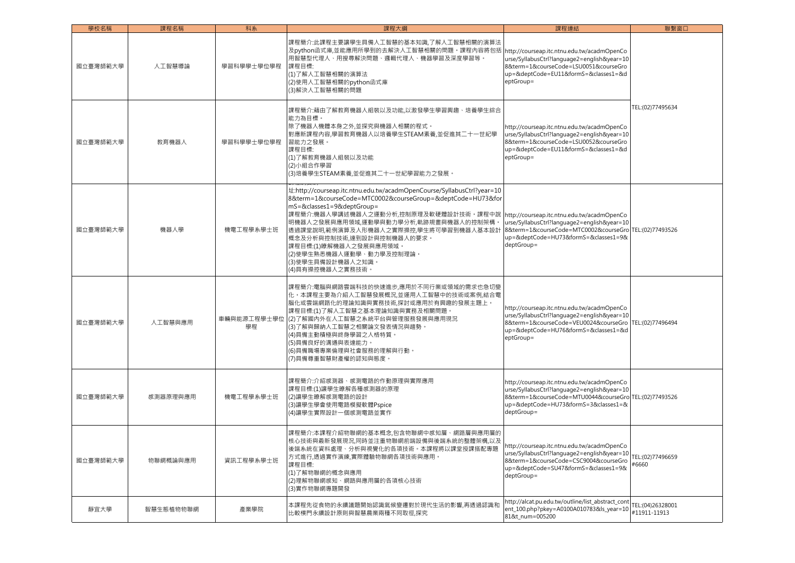| 學校名稱     | 課程名稱      | 科系                | 課程大綱                                                                                                                                                                                                                                                                                                                                                                                                                                                                 | 課程連結                                                                                                                                                                                                       | 聯繫窗口                             |
|----------|-----------|-------------------|----------------------------------------------------------------------------------------------------------------------------------------------------------------------------------------------------------------------------------------------------------------------------------------------------------------------------------------------------------------------------------------------------------------------------------------------------------------------|------------------------------------------------------------------------------------------------------------------------------------------------------------------------------------------------------------|----------------------------------|
| 國立臺灣師範大學 | 人工智慧導論    | 學習科學學士學位學程        | 課程簡介:此課程主要讓學生具備人工智慧的基本知識,了解人工智慧相關的演算法<br>及python函式庫,並能應用所學到的去解決人工智慧相關的問題。課程內容將包括  http://courseap.itc.ntnu.edu.tw/acadmOpenCo<br>用智慧型代理人、用搜尋解決問題、邏輯代理人、機器學習及深度學習等。<br>課程目標:<br>(1)了解人工智慧相關的演算法<br>(2)使用人工智慧相關的python函式庫<br>(3)解決人工智慧相關的問題                                                                                                                                                                                                                            | urse/SyllabusCtrl?language2=english&year=10<br>8&term=1&courseCode=LSU0051&courseGro<br>up=&deptCode=EU11&formS=&classes1=&d<br>eptGroup=                                                                  |                                  |
| 國立臺灣師範大學 | 教育機器人     | 學習科學學士學位學程        | 課程簡介:藉由了解教育機器人組裝以及功能,以激發學生學習興趣、培養學生綜合<br>能力為目標。<br>除了機器人機體本身之外,並探究與機器人相關的程式。<br>對應新課程內容,學習教育機器人以培養學生STEAM素養,並促進其二十一世紀學<br>習能力之發展。<br>課程目標:<br>(1)了解教育機器人組裝以及功能<br>(2)小組合作學習<br>(3)培養學生STEAM素養,並促進其二十一世紀學習能力之發展。                                                                                                                                                                                                                                                      | http://courseap.itc.ntnu.edu.tw/acadmOpenCo<br>urse/SyllabusCtrl?language2=english&year=10<br>8&term=1&courseCode=LSU0052&courseGro<br>up=&deptCode=EU11&formS=&classes1=&d<br>eptGroup=                   | TEL:(02)77495634                 |
| 國立臺灣師範大學 | 機器人學      | 機電工程學系學士班         | 址:http://courseap.itc.ntnu.edu.tw/acadmOpenCourse/SyllabusCtrl?year=10<br>8&term=1&courseCode=MTC0002&courseGroup=&deptCode=HU73&for<br>mS=&classes1=9&deptGroup=<br>課程簡介:機器人學講述機器人之運動分析,控制原理及軟硬體設計技術。課程中說  http://courseap.itc.ntnu.edu.tw/acadmOpenCo<br>明機器人之發展與應用領域,運動學與動力學分析,軌跡規畫與機器人的控制架構<br>透過課堂說明,範例演算及人形機器人之實際操控,學生將可學習到機器人基本設計<br>概念及分析與控制技術,達到設計與控制機器人的要求。<br>課程目標:(1)瞭解機器人之發展與應用領域。<br>(2)使學生熟悉機器人運動學、動力學及控制理論。<br>(3)使學生具備設計機器人之知識。<br>(4)具有操控機器人之實務技術。 | urse/SyllabusCtrl?language2=english&year=10<br>8&term=1&courseCode=MTC0002&courseGro TEL:(02)77493526<br>up=&deptCode=HU73&formS=&classes1=9&<br>deptGroup=                                                |                                  |
| 國立臺灣師範大學 | 人工智慧與應用   | 車輛與能源工程學士學位<br>學程 | 課程簡介:電腦與網路雲端科技的快速進步,應用於不同行業或領域的需求也急切變<br>化。本課程主要為介紹人工智慧發展概況,並運用人工智慧中的技術或案例,結合電<br>腦化或雲端網路化的理論知識與實務技術,探討或應用於有興趣的發展主題上。<br>課程目標:(1)了解人工智慧之基本理論知識與實務及相關問題。<br> (2)了解國內外在人工智慧之系統平台與管理服務發展與應用現況<br>(3)了解與歸納人工智慧之相關論文發表情況與趨勢。<br>(4)具備主動積極與終身學習之人格特質。<br>(5)具備良好的溝通與表達能力。<br>(6)具備職場專業倫理與社會服務的理解與行動。<br>(7)具備尊重智慧財產權的認知與態度。                                                                                                                                                | http://courseap.itc.ntnu.edu.tw/acadmOpenCo<br>urse/SyllabusCtrl?language2=english&year=10<br>8&term=1&courseCode=VEU0024&courseGro<br>up=&deptCode=HU76&formS=&classes1=&d<br>eptGroup=                   | TEL:(02)77496494                 |
| 國立臺灣師範大學 | 感測器原理與應用  | 機電工程學系學士班         | 課程簡介:介紹感測器、感測電路的作動原理與實際應用<br>課程目標:(1)讓學生瞭解各種感測器的原理<br>(2)讓學生瞭解感測電路的設計<br>(3)讓學生學會使用電路模擬軟體Pspice<br>(4)讓學生實際設計一個感測電路並實作                                                                                                                                                                                                                                                                                                                                               | http://courseap.itc.ntnu.edu.tw/acadmOpenCo<br>urse/SyllabusCtrl?language2=english&year=10<br>8&term=1&courseCode=MTU0044&courseGro TEL:(02)77493526<br>up=&deptCode=HU73&formS=3&classes1=&<br>deptGroup= |                                  |
| 國立臺灣師範大學 | 物聯網概論與應用  | 資訊工程學系學士班         | 课程簡介:本課程介紹物聯網的基本概念,包含物聯網中感知層、網路層與應用層的<br>核心技術與最新發展現況,同時並注重物聯網前端設備與後端系統的整體架構,以及<br>後端 <mark>系統在資料處理、分析與視覺化的各項技術。本課程將以課堂授課搭配專題</mark><br>方式進行,透過實作演練,實際體驗物聯網各項技術與應用。<br>課程目標:<br>(1)了解物聯網的概念與應用<br>(2)理解物聯網感知、網路與應用層的各項核心技術<br>(3)實作物聯網專題開發                                                                                                                                                                                                                            | http://courseap.itc.ntnu.edu.tw/acadmOpenCo<br>urse/SyllabusCtrl?language2=english&year=10<br>8&term=1&courseCode=CSC9004&courseGro<br>up=&deptCode=SU47&formS=&classes1=9&<br>deptGroup=                  | TEL: (02) 77496659<br>#6660      |
| 靜宜大學     | 智慧生態植物物聯網 | 產業學院              | 本課程先從食物的永續議題開始認識氣候變遷對於現代生活的影響,再透過認識和<br>比較樸門永續設計原則與智慧農業兩種不同取徑,探究                                                                                                                                                                                                                                                                                                                                                                                                     | http://alcat.pu.edu.tw/outline/list_abstract_cont<br>ent_100.php?pkey=A0100A010783&ls_year=10<br>81&t_num=005200                                                                                           | TEL:(04)26328001<br>#11911-11913 |